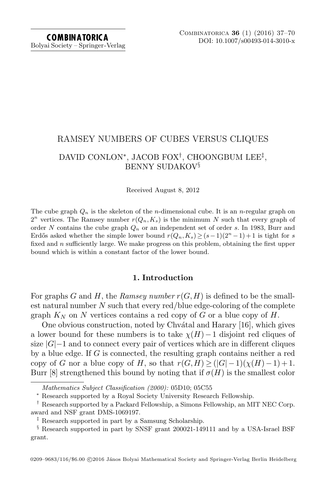# RAMSEY NUMBERS OF CUBES VERSUS CLIQUES DAVID CONLON<sup>∗</sup> , JACOB FOX† , CHOONGBUM LEE‡ , BENNY SUDAKOV§

Received August 8, 2012

The cube graph  $Q_n$  is the skeleton of the *n*-dimensional cube. It is an *n*-regular graph on  $2^n$  vertices. The Ramsey number  $r(Q_n, K_s)$  is the minimum N such that every graph of order N contains the cube graph  $Q_n$  or an independent set of order s. In 1983, Burr and Erdős asked whether the simple lower bound  $r(Q_n,K_s) \geq (s-1)(2^n-1)+1$  is tight for s fixed and  $n$  sufficiently large. We make progress on this problem, obtaining the first upper bound which is within a constant factor of the lower bound.

# 1. Introduction

For graphs G and H, the Ramsey number  $r(G, H)$  is defined to be the smallest natural number  $N$  such that every red/blue edge-coloring of the complete graph  $K_N$  on N vertices contains a red copy of G or a blue copy of H.

One obvious construction, noted by Chvátal and Harary [\[16\]](#page-31-0), which gives a lower bound for these numbers is to take  $\chi(H)-1$  disjoint red cliques of size  $|G|-1$  and to connect every pair of vertices which are in different cliques by a blue edge. If G is connected, the resulting graph contains neither a red copy of G nor a blue copy of H, so that  $r(G,H) \geq (|G|-1)(\chi(H)-1)+1$ . Burr [\[8\]](#page-31-1) strengthened this bound by noting that if  $\sigma(H)$  is the smallest color

0209-9683/116/\$6.00 ©2016 János Bolyai Mathematical Society and Springer-Verlag Berlin Heidelberg

Mathematics Subject Classification (2000): 05D10; 05C55

<sup>∗</sup> Research supported by a Royal Society University Research Fellowship.

<sup>†</sup> Research supported by a Packard Fellowship, a Simons Fellowship, an MIT NEC Corp. award and NSF grant DMS-1069197.

<sup>‡</sup> Research supported in part by a Samsung Scholarship.

<sup>§</sup> Research supported in part by SNSF grant 200021-149111 and by a USA-Israel BSF grant.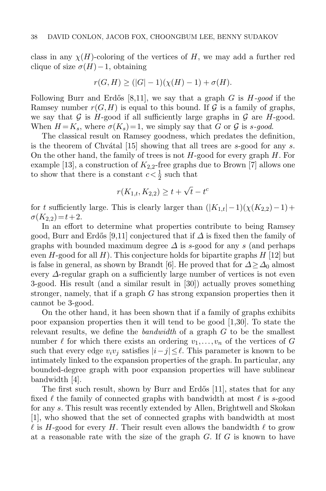class in any  $\chi(H)$ -coloring of the vertices of H, we may add a further red clique of size  $\sigma(H)-1$ , obtaining

$$
r(G, H) \ge (|G| - 1)(\chi(H) - 1) + \sigma(H).
$$

Following Burr and Erdős [\[8,](#page-31-1)[11\]](#page-31-2), we say that a graph G is  $H$ -good if the Ramsey number  $r(G,H)$  is equal to this bound. If  $\mathcal G$  is a family of graphs, we say that G is H-good if all sufficiently large graphs in G are H-good. When  $H = K_s$ , where  $\sigma(K_s) = 1$ , we simply say that G or G is s-good.

The classical result on Ramsey goodness, which predates the definition, is the theorem of Chvátal  $[15]$  showing that all trees are s-good for any s. On the other hand, the family of trees is not  $H$ -good for every graph  $H$ . For example [\[13\]](#page-31-4), a construction of  $K_{2,2}$ -free graphs due to Brown [\[7\]](#page-31-5) allows one to show that there is a constant  $c < \frac{1}{2}$  such that

$$
r(K_{1,t}, K_{2,2}) \ge t + \sqrt{t} - t^c
$$

for t sufficiently large. This is clearly larger than  $(|K_{1,t}|-1)(\chi(K_{2,2})-1)+$  $\sigma(K_{2,2})=t+2.$ 

In an effort to determine what properties contribute to being Ramsey good, Burr and Erdős [\[9,](#page-31-6)[11\]](#page-31-2) conjectured that if  $\Delta$  is fixed then the family of graphs with bounded maximum degree  $\Delta$  is s-good for any s (and perhaps even H-good for all H). This conjecture holds for bipartite graphs  $H$  [\[12\]](#page-31-7) but is false in general, as shown by Brandt [\[6\]](#page-31-8). He proved that for  $\Delta > \Delta_0$  almost every ∆-regular graph on a sufficiently large number of vertices is not even 3-good. His result (and a similar result in [\[30\]](#page-32-0)) actually proves something stronger, namely, that if a graph  $G$  has strong expansion properties then it cannot be 3-good.

On the other hand, it has been shown that if a family of graphs exhibits poor expansion properties then it will tend to be good [\[1,](#page-31-9)[30\]](#page-32-0). To state the relevant results, we define the *bandwidth* of a graph  $G$  to be the smallest number  $\ell$  for which there exists an ordering  $v_1,\ldots,v_n$  of the vertices of G such that every edge  $v_i v_j$  satisfies  $|i-j| \leq \ell$ . This parameter is known to be intimately linked to the expansion properties of the graph. In particular, any bounded-degree graph with poor expansion properties will have sublinear bandwidth [\[4\]](#page-31-10).

The first such result, shown by Burr and Erdős [\[11\]](#page-31-2), states that for any fixed  $\ell$  the family of connected graphs with bandwidth at most  $\ell$  is s-good for any s. This result was recently extended by Allen, Brightwell and Skokan [\[1\]](#page-31-9), who showed that the set of connected graphs with bandwidth at most  $\ell$  is H-good for every H. Their result even allows the bandwidth  $\ell$  to grow at a reasonable rate with the size of the graph G. If G is known to have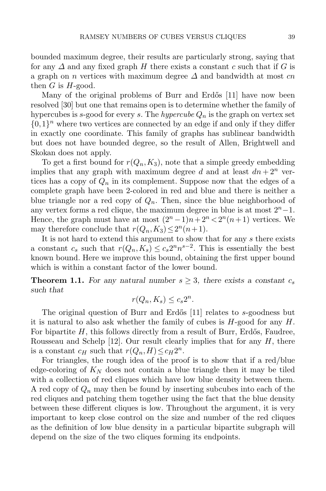bounded maximum degree, their results are particularly strong, saying that for any  $\Delta$  and any fixed graph H there exists a constant c such that if G is a graph on n vertices with maximum degree  $\Delta$  and bandwidth at most cn then  $G$  is  $H$ -good.

Many of the original problems of Burr and Erdős [\[11\]](#page-31-2) have now been resolved [\[30\]](#page-32-0) but one that remains open is to determine whether the family of hypercubes is s-good for every s. The hypercube  $Q_n$  is the graph on vertex set  $\{0,1\}$ <sup>n</sup> where two vertices are connected by an edge if and only if they differ in exactly one coordinate. This family of graphs has sublinear bandwidth but does not have bounded degree, so the result of Allen, Brightwell and Skokan does not apply.

To get a first bound for  $r(Q_n,K_3)$ , note that a simple greedy embedding implies that any graph with maximum degree d and at least  $dn + 2^n$  vertices has a copy of  $Q_n$  in its complement. Suppose now that the edges of a complete graph have been 2-colored in red and blue and there is neither a blue triangle nor a red copy of  $Q_n$ . Then, since the blue neighborhood of any vertex forms a red clique, the maximum degree in blue is at most  $2<sup>n</sup> - 1$ . Hence, the graph must have at most  $(2^n - 1)n + 2^n < 2^n(n+1)$  vertices. We may therefore conclude that  $r(Q_n, K_3) \leq 2^n(n+1)$ .

It is not hard to extend this argument to show that for any s there exists a constant  $c_s$  such that  $r(Q_n, K_s) \leq c_s 2^n n^{s-2}$ . This is essentially the best known bound. Here we improve this bound, obtaining the first upper bound which is within a constant factor of the lower bound.

**Theorem 1.1.** For any natural number  $s \geq 3$ , there exists a constant  $c_s$ such that

$$
r(Q_n, K_s) \le c_s 2^n.
$$

The original question of Burr and Erdős  $|11|$  relates to s-goodness but it is natural to also ask whether the family of cubes is  $H$ -good for any  $H$ . For bipartite  $H$ , this follows directly from a result of Burr, Erdős, Faudree, Rousseau and Schelp [\[12\]](#page-31-7). Our result clearly implies that for any  $H$ , there is a constant  $c_H$  such that  $r(Q_n, H) \leq c_H 2^n$ .

For triangles, the rough idea of the proof is to show that if a red/blue edge-coloring of  $K_N$  does not contain a blue triangle then it may be tiled with a collection of red cliques which have low blue density between them. A red copy of  $Q_n$  may then be found by inserting subcubes into each of the red cliques and patching them together using the fact that the blue density between these different cliques is low. Throughout the argument, it is very important to keep close control on the size and number of the red cliques as the definition of low blue density in a particular bipartite subgraph will depend on the size of the two cliques forming its endpoints.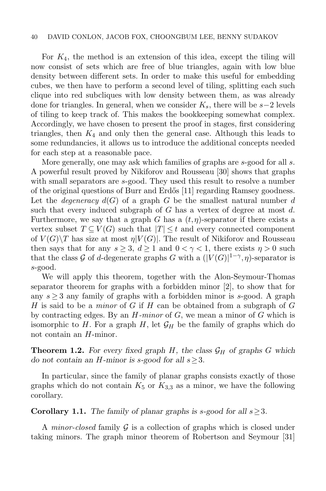#### 40 DAVID CONLON, JACOB FOX, CHOONGBUM LEE, BENNY SUDAKOV

For  $K_4$ , the method is an extension of this idea, except the tiling will now consist of sets which are free of blue triangles, again with low blue density between different sets. In order to make this useful for embedding cubes, we then have to perform a second level of tiling, splitting each such clique into red subcliques with low density between them, as was already done for triangles. In general, when we consider  $K_s$ , there will be s−2 levels of tiling to keep track of. This makes the bookkeeping somewhat complex. Accordingly, we have chosen to present the proof in stages, first considering triangles, then  $K_4$  and only then the general case. Although this leads to some redundancies, it allows us to introduce the additional concepts needed for each step at a reasonable pace.

More generally, one may ask which families of graphs are s-good for all s. A powerful result proved by Nikiforov and Rousseau [\[30\]](#page-32-0) shows that graphs with small separators are s-good. They used this result to resolve a number of the original questions of Burr and Erd˝os [\[11\]](#page-31-2) regarding Ramsey goodness. Let the *degeneracy*  $d(G)$  of a graph G be the smallest natural number d such that every induced subgraph of  $G$  has a vertex of degree at most  $d$ . Furthermore, we say that a graph G has a  $(t, \eta)$ -separator if there exists a vertex subset  $T \subseteq V(G)$  such that  $|T| \leq t$  and every connected component of  $V(G)\T$  has size at most  $\eta|V(G)|$ . The result of Nikiforov and Rousseau then says that for any  $s \geq 3$ ,  $d \geq 1$  and  $0 < \gamma < 1$ , there exists  $\eta > 0$  such that the class G of d-degenerate graphs G with a  $(|V(G)|^{1-\gamma}, \eta)$ -separator is s-good.

We will apply this theorem, together with the Alon-Seymour-Thomas separator theorem for graphs with a forbidden minor [\[2\]](#page-31-11), to show that for any  $s \geq 3$  any family of graphs with a forbidden minor is s-good. A graph H is said to be a *minor* of G if H can be obtained from a subgraph of G by contracting edges. By an  $H\text{-}minor$  of  $G$ , we mean a minor of  $G$  which is isomorphic to H. For a graph H, let  $\mathcal{G}_H$  be the family of graphs which do not contain an H-minor.

<span id="page-3-0"></span>**Theorem 1.2.** For every fixed graph H, the class  $\mathcal{G}_H$  of graphs G which do not contain an H-minor is s-good for all  $s \geq 3$ .

In particular, since the family of planar graphs consists exactly of those graphs which do not contain  $K_5$  or  $K_{3,3}$  as a minor, we have the following corollary.

### **Corollary 1.1.** The family of planar graphs is s-good for all  $s \geq 3$ .

A *minor-closed* family  $G$  is a collection of graphs which is closed under taking minors. The graph minor theorem of Robertson and Seymour [\[31\]](#page-32-1)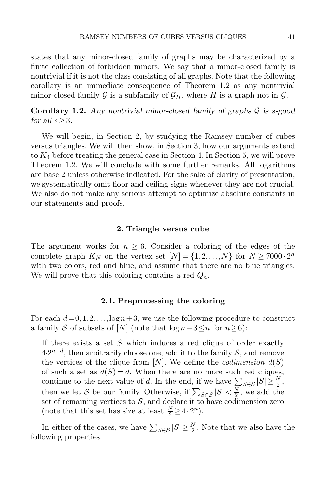states that any minor-closed family of graphs may be characterized by a finite collection of forbidden minors. We say that a minor-closed family is nontrivial if it is not the class consisting of all graphs. Note that the following corollary is an immediate consequence of Theorem [1.2](#page-3-0) as any nontrivial minor-closed family G is a subfamily of  $\mathcal{G}_H$ , where H is a graph not in  $\mathcal{G}$ .

**Corollary 1.2.** Any nontrivial minor-closed family of graphs  $\mathcal{G}$  is s-good for all  $s>3$ .

We will begin, in Section [2,](#page-4-0) by studying the Ramsey number of cubes versus triangles. We will then show, in Section [3,](#page-9-0) how our arguments extend to K<sup>4</sup> before treating the general case in Section [4.](#page-19-0) In Section [5,](#page-27-0) we will prove Theorem [1.2.](#page-3-0) We will conclude with some further remarks. All logarithms are base 2 unless otherwise indicated. For the sake of clarity of presentation, we systematically omit floor and ceiling signs whenever they are not crucial. We also do not make any serious attempt to optimize absolute constants in our statements and proofs.

#### 2. Triangle versus cube

<span id="page-4-0"></span>The argument works for  $n \geq 6$ . Consider a coloring of the edges of the complete graph  $K_N$  on the vertex set  $[N] = \{1, 2, ..., N\}$  for  $N \ge 7000 \cdot 2^n$ with two colors, red and blue, and assume that there are no blue triangles. We will prove that this coloring contains a red  $Q_n$ .

#### 2.1. Preprocessing the coloring

<span id="page-4-1"></span>For each  $d = 0, 1, 2, \ldots$ ,  $\log n + 3$ , we use the following procedure to construct a family S of subsets of [N] (note that  $\log n + 3 \leq n$  for  $n \geq 6$ ):

If there exists a set  $S$  which induces a red clique of order exactly  $4 \cdot 2^{n-d}$ , then arbitrarily choose one, add it to the family  $S$ , and remove the vertices of the clique from [N]. We define the *codimension*  $d(S)$ of such a set as  $d(S) = d$ . When there are no more such red cliques, continue to the next value of d. In the end, if we have  $\sum_{S \in \mathcal{S}} |S| \geq \frac{N}{2}$ , then we let S be our family. Otherwise, if  $\sum_{S \in \mathcal{S}} |S| < \frac{N}{2}$  $\frac{N}{2}$ , we add the set of remaining vertices to  $S$ , and declare it to have codimension zero (note that this set has size at least  $\frac{N}{2} \geq 4 \cdot 2^n$ ).

<span id="page-4-2"></span>In either of the cases, we have  $\sum_{S \in \mathcal{S}} |S| \geq \frac{N}{2}$ . Note that we also have the following properties.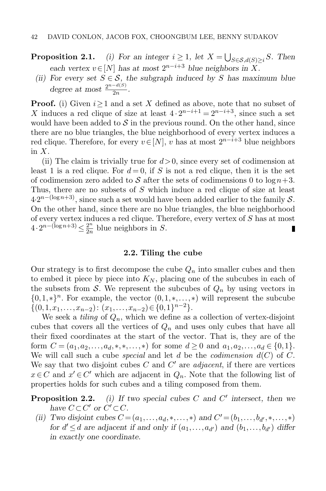**Proposition 2.1.** (i) For an integer  $i \geq 1$ , let  $X = \bigcup_{S \in \mathcal{S}, d(S) \geq i} S$ . Then each vertex  $v \in [N]$  has at most  $2^{n-i+3}$  blue neighbors in X.

(ii) For every set  $S \in \mathcal{S}$ , the subgraph induced by S has maximum blue degree at most  $\frac{2^{n-d(S)}}{2n}$  $\frac{a^{(2)}}{2n}$ .

**Proof.** (i) Given  $i > 1$  and a set X defined as above, note that no subset of X induces a red clique of size at least  $4 \cdot 2^{n-i+1} = 2^{n-i+3}$ , since such a set would have been added to  $S$  in the previous round. On the other hand, since there are no blue triangles, the blue neighborhood of every vertex induces a red clique. Therefore, for every  $v \in [N]$ , v has at most  $2^{n-i+3}$  blue neighbors in  $X$ .

(ii) The claim is trivially true for  $d > 0$ , since every set of codimension at least 1 is a red clique. For  $d = 0$ , if S is not a red clique, then it is the set of codimension zero added to S after the sets of codimensions 0 to  $\log n+3$ . Thus, there are no subsets of S which induce a red clique of size at least  $4 \cdot 2^{n - (\log n + 3)}$ , since such a set would have been added earlier to the family S. On the other hand, since there are no blue triangles, the blue neighborhood of every vertex induces a red clique. Therefore, every vertex of S has at most  $4\cdot 2^{n-(\log n+3)} \leq \frac{2^n}{2n}$  $\frac{2^n}{2n}$  blue neighbors in S.

#### 2.2. Tiling the cube

Our strategy is to first decompose the cube  $Q_n$  into smaller cubes and then to embed it piece by piece into  $K_N$ , placing one of the subcubes in each of the subsets from S. We represent the subcubes of  $Q_n$  by using vectors in  $\{0,1,*\}$ <sup>n</sup>. For example, the vector  $(0,1,*,...,*)$  will represent the subcube  $\{(0,1,x_1,\ldots,x_{n-2}): (x_1,\ldots,x_{n-2}) \in \{0,1\}^{n-2}\}.$ 

We seek a *tiling* of  $Q_n$ , which we define as a collection of vertex-disjoint cubes that covers all the vertices of  $Q_n$  and uses only cubes that have all their fixed coordinates at the start of the vector. That is, they are of the form  $C = (a_1, a_2, \ldots, a_d, *, *, \ldots, *)$  for some  $d \geq 0$  and  $a_1, a_2, \ldots, a_d \in \{0, 1\}.$ We will call such a cube *special* and let d be the *codimension*  $d(C)$  of C. We say that two disjoint cubes  $C$  and  $C'$  are *adjacent*, if there are vertices  $x \in C$  and  $x' \in C'$  which are adjacent in  $Q_n$ . Note that the following list of properties holds for such cubes and a tiling composed from them.

<span id="page-5-0"></span>**Proposition 2.2.** (i) If two special cubes C and C' intersect, then we have  $C \subset C'$  or  $C' \subset C$ .

(ii) Two disjoint cubes  $C = (a_1, ..., a_d, *, ..., *)$  and  $C' = (b_1, ..., b_{d'}, *, ..., *)$ for  $d' \leq d$  are adjacent if and only if  $(a_1, \ldots, a_{d'})$  and  $(b_1, \ldots, b_{d'})$  differ in exactly one coordinate.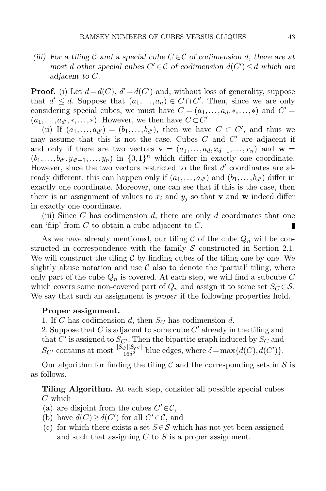(iii) For a tiling C and a special cube  $C \in \mathcal{C}$  of codimension d, there are at most d other special cubes  $C' \in \mathcal{C}$  of codimension  $d(C') \leq d$  which are adjacent to C.

**Proof.** (i) Let  $d = d(C)$ ,  $d' = d(C')$  and, without loss of generality, suppose that  $d' \leq d$ . Suppose that  $(a_1, \ldots, a_n) \in C \cap C'$ . Then, since we are only considering special cubes, we must have  $C = (a_1, \ldots, a_d, \ast, \ldots, \ast)$  and  $C' =$  $(a_1, \ldots, a_{d'}, \ldots, \ast)$ . However, we then have  $C \subset C'$ .

(ii) If  $(a_1,\ldots,a_{d'})=(b_1,\ldots,b_{d'})$ , then we have  $C\subset C'$ , and thus we may assume that this is not the case. Cubes  $C$  and  $C'$  are adjacent if and only if there are two vectors  $\mathbf{v} = (a_1, \ldots, a_d, x_{d+1}, \ldots, x_n)$  and  $\mathbf{w} =$  $(b_1,\ldots,b_{d'},y_{d'+1},\ldots,y_n)$  in  $\{0,1\}^n$  which differ in exactly one coordinate. However, since the two vectors restricted to the first  $d'$  coordinates are already different, this can happen only if  $(a_1, \ldots, a_{d'})$  and  $(b_1, \ldots, b_{d'})$  differ in exactly one coordinate. Moreover, one can see that if this is the case, then there is an assignment of values to  $x_i$  and  $y_j$  so that **v** and **w** indeed differ in exactly one coordinate.

(iii) Since C has codimension d, there are only d coordinates that one can 'flip' from  $C$  to obtain a cube adjacent to  $C$ . п

As we have already mentioned, our tiling  $\mathcal C$  of the cube  $Q_n$  will be constructed in correspondence with the family  $S$  constructed in Section [2.1.](#page-4-1) We will construct the tiling  $\mathcal C$  by finding cubes of the tiling one by one. We slightly abuse notation and use  $\mathcal C$  also to denote the 'partial' tiling, where only part of the cube  $Q_n$  is covered. At each step, we will find a subcube C which covers some non-covered part of  $Q_n$  and assign it to some set  $S_C \in \mathcal{S}$ . We say that such an assignment is *proper* if the following properties hold.

#### Proper assignment.

1. If C has codimension d, then  $S_C$  has codimension d.

2. Suppose that  $C$  is adjacent to some cube  $C'$  already in the tiling and that  $C'$  is assigned to  $S_{C'}$ . Then the bipartite graph induced by  $S_C$  and  $S_{C'}$  contains at most  $\frac{|S_C||S_{C'}|}{16\delta^2}$  blue edges, where  $\delta = \max\{d(C), d(C')\}.$ 

Our algorithm for finding the tiling  $\mathcal C$  and the corresponding sets in  $\mathcal S$  is as follows.

Tiling Algorithm. At each step, consider all possible special cubes C which

- (a) are disjoint from the cubes  $C' \in \mathcal{C}$ ,
- (b) have  $d(C) \geq d(C')$  for all  $C' \in \mathcal{C}$ , and
- (c) for which there exists a set  $S \in \mathcal{S}$  which has not yet been assigned and such that assigning  $C$  to  $S$  is a proper assignment.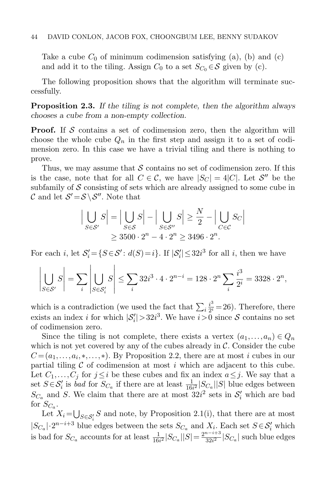Take a cube  $C_0$  of minimum codimension satisfying (a), (b) and (c) and add it to the tiling. Assign  $C_0$  to a set  $S_{C_0} \in \mathcal{S}$  given by (c).

The following proposition shows that the algorithm will terminate successfully.

Proposition 2.3. If the tiling is not complete, then the algorithm always chooses a cube from a non-empty collection.

**Proof.** If  $S$  contains a set of codimension zero, then the algorithm will choose the whole cube  $Q_n$  in the first step and assign it to a set of codimension zero. In this case we have a trivial tiling and there is nothing to prove.

Thus, we may assume that  $S$  contains no set of codimension zero. If this is the case, note that for all  $C \in \mathcal{C}$ , we have  $|S_C| = 4|C|$ . Let  $\mathcal{S}''$  be the subfamily of  $\mathcal S$  consisting of sets which are already assigned to some cube in C and let  $S' = S \ S'$ . Note that

$$
\Big| \bigcup_{S \in \mathcal{S}'} S \Big| = \Big| \bigcup_{S \in \mathcal{S}} S \Big| - \Big| \bigcup_{S \in \mathcal{S}''} S \Big| \ge \frac{N}{2} - \Big| \bigcup_{C \in \mathcal{C}} S_C \Big|
$$
  

$$
\ge 3500 \cdot 2^n - 4 \cdot 2^n \ge 3496 \cdot 2^n.
$$

For each *i*, let  $S_i' = \{S \in \mathcal{S}' : d(S) = i\}$ . If  $|S_i'| \leq 32i^3$  for all *i*, then we have

$$
\left| \bigcup_{S \in \mathcal{S}'} S \right| = \sum_{i} \left| \bigcup_{S \in \mathcal{S}'_i} S \right| \le \sum_{i} 32i^3 \cdot 4 \cdot 2^{n-i} = 128 \cdot 2^n \sum_{i} \frac{i^3}{2^i} = 3328 \cdot 2^n,
$$

which is a contradiction (we used the fact that  $\sum_{i} \frac{i^3}{2^i}$  $\frac{i^3}{2^i}$  = 26). Therefore, there exists an index *i* for which  $|S'_i| > 32i^3$ . We have  $i > 0$  since S contains no set of codimension zero.

Since the tiling is not complete, there exists a vertex  $(a_1,..., a_n) \in Q_n$ which is not yet covered by any of the cubes already in  $\mathcal{C}$ . Consider the cube  $C = (a_1, \ldots, a_i, \ast, \ldots, \ast)$ . By Proposition [2.2,](#page-5-0) there are at most i cubes in our partial tiling  $C$  of codimension at most i which are adjacent to this cube. Let  $C_1, \ldots, C_j$  for  $j \leq i$  be these cubes and fix an index  $a \leq j$ . We say that a set  $S \in \mathcal{S}'_i$  is bad for  $S_{C_a}$  if there are at least  $\frac{1}{16i^2}|S_{C_a}||S|$  blue edges between  $S_{C_a}$  and S. We claim that there are at most  $32i^2$  sets in  $S_i'$  which are bad for  $S_{C_a}$ .

Let  $X_i = \bigcup_{S \in \mathcal{S}'_i} S$  and note, by Proposition [2.1\(](#page-4-2)i), that there are at most  $|S_{C_a}| \cdot 2^{n-i+3}$  blue edges between the sets  $S_{C_a}$  and  $X_i$ . Each set  $S \in S'_i$  which is bad for  $S_{C_a}$  accounts for at least  $\frac{1}{16i^2}|S_{C_a}||S| = \frac{2^{n-i+3}}{32i^2}$  $\frac{a^{n-i+3}}{32i^2}$   $|S_{C_a}|$  such blue edges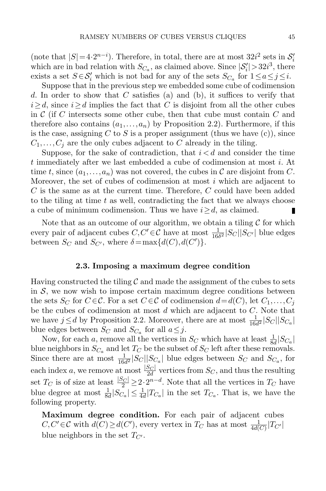(note that  $|S|=4\cdot 2^{n-i}$ ). Therefore, in total, there are at most  $32i^2$  sets in  $S_i$ which are in bad relation with  $S_{C_a}$ , as claimed above. Since  $|S'_i| > 32i^3$ , there exists a set  $S \in \mathcal{S}'_i$  which is not bad for any of the sets  $S_{C_a}$  for  $1 \le a \le j \le i$ .

Suppose that in the previous step we embedded some cube of codimension d. In order to show that C satisfies (a) and (b), it suffices to verify that  $i \geq d$ , since  $i \geq d$  implies the fact that C is disjoint from all the other cubes in  $\mathcal C$  (if C intersects some other cube, then that cube must contain C and therefore also contains  $(a_1,..., a_n)$  by Proposition [2.2\)](#page-5-0). Furthermore, if this is the case, assigning C to S is a proper assignment (thus we have  $(c)$ ), since  $C_1, \ldots, C_j$  are the only cubes adjacent to C already in the tiling.

Suppose, for the sake of contradiction, that  $i < d$  and consider the time t immediately after we last embedded a cube of codimension at most i. At time t, since  $(a_1,..., a_n)$  was not covered, the cubes in C are disjoint from C. Moreover, the set of cubes of codimension at most  $i$  which are adjacent to  $C$  is the same as at the current time. Therefore,  $C$  could have been added to the tiling at time  $t$  as well, contradicting the fact that we always choose a cube of minimum codimension. Thus we have  $i \geq d$ , as claimed. П

Note that as an outcome of our algorithm, we obtain a tiling  $\mathcal C$  for which every pair of adjacent cubes  $C, C' \in \mathcal{C}$  have at most  $\frac{1}{16\delta^2} |S_C||S_{C'}|$  blue edges between  $S_C$  and  $S_{C'}$ , where  $\delta = \max\{d(C), d(C')\}.$ 

#### 2.3. Imposing a maximum degree condition

<span id="page-8-0"></span>Having constructed the tiling  $\mathcal C$  and made the assignment of the cubes to sets in  $S$ , we now wish to impose certain maximum degree conditions between the sets  $S_C$  for  $C \in \mathcal{C}$ . For a set  $C \in \mathcal{C}$  of codimension  $d=d(C)$ , let  $C_1,\ldots,C_j$ be the cubes of codimension at most  $d$  which are adjacent to  $C$ . Note that we have  $j \leq d$  by Proposition [2.2.](#page-5-0) Moreover, there are at most  $\frac{1}{16d^2}|S_C||S_{C_a}|$ blue edges between  $S_C$  and  $S_{C_a}$  for all  $a \leq j$ .

Now, for each a, remove all the vertices in  $S_C$  which have at least  $\frac{1}{8d}|S_{C_a}|$ blue neighbors in  $S_{C_a}$  and let  $T_C$  be the subset of  $S_C$  left after these removals. Since there are at most  $\frac{1}{16d^2}|S_C||S_{C_a}|$  blue edges between  $S_C$  and  $S_{C_a}$ , for each index a, we remove at most  $\frac{|S_C|}{2d}$  vertices from  $S_C$ , and thus the resulting set  $T_C$  is of size at least  $\frac{|S_C|}{2} \geq 2 \cdot 2^{n-d}$ . Note that all the vertices in  $T_C$  have blue degree at most  $\frac{1}{8d} |S_{C_a}| \leq \frac{1}{4d} |T_{C_a}|$  in the set  $T_{C_a}$ . That is, we have the following property.

Maximum degree condition. For each pair of adjacent cubes  $C, C' \in \mathcal{C}$  with  $d(C) \geq d(C')$ , every vertex in  $T_C$  has at most  $\frac{1}{4d(C)}|T_{C'}|$ blue neighbors in the set  $T_{C}$ .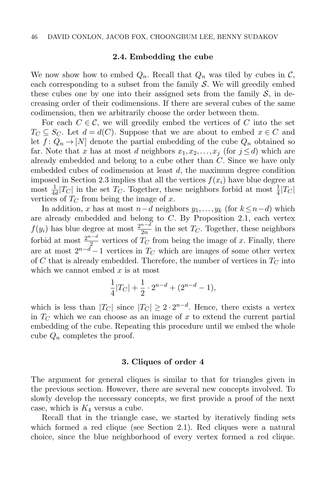#### 2.4. Embedding the cube

We now show how to embed  $Q_n$ . Recall that  $Q_n$  was tiled by cubes in  $\mathcal{C}$ , each corresponding to a subset from the family  $S$ . We will greedily embed these cubes one by one into their assigned sets from the family  $\mathcal{S}$ , in decreasing order of their codimensions. If there are several cubes of the same codimension, then we arbitrarily choose the order between them.

For each  $C \in \mathcal{C}$ , we will greedily embed the vertices of C into the set  $T_C \subseteq S_C$ . Let  $d = d(C)$ . Suppose that we are about to embed  $x \in C$  and let  $f: Q_n \to [N]$  denote the partial embedding of the cube  $Q_n$  obtained so far. Note that x has at most d neighbors  $x_1, x_2, \ldots, x_j$  (for  $j \leq d$ ) which are already embedded and belong to a cube other than C. Since we have only embedded cubes of codimension at least d, the maximum degree condition imposed in Section [2.3](#page-8-0) implies that all the vertices  $f(x_i)$  have blue degree at most  $\frac{1}{4d}$  |  $T_C$ | in the set  $T_C$ . Together, these neighbors forbid at most  $\frac{1}{4}$  |  $T_C$  | vertices of  $T_C$  from being the image of x.

In addition, x has at most  $n-d$  neighbors  $y_1, \ldots, y_k$  (for  $k \leq n-d$ ) which are already embedded and belong to  $C$ . By Proposition [2.1,](#page-4-2) each vertex  $f(y_i)$  has blue degree at most  $\frac{2^{n-d}}{2n}$  $\frac{n}{2n}$  in the set  $T_C$ . Together, these neighbors forbid at most  $\frac{2^{n-d}}{2}$  $\frac{1}{2}$  vertices of  $T_C$  from being the image of x. Finally, there are at most  $2^{n-\tilde{d}}-1$  vertices in  $T_C$  which are images of some other vertex of C that is already embedded. Therefore, the number of vertices in  $T_C$  into which we cannot embed  $x$  is at most

$$
\frac{1}{4}|T_C| + \frac{1}{2} \cdot 2^{n-d} + (2^{n-d} - 1),
$$

which is less than  $|T_C|$  since  $|T_C| \geq 2 \cdot 2^{n-d}$ . Hence, there exists a vertex in  $T_{\text{C}}$  which we can choose as an image of x to extend the current partial embedding of the cube. Repeating this procedure until we embed the whole cube  $Q_n$  completes the proof.

#### 3. Cliques of order 4

<span id="page-9-0"></span>The argument for general cliques is similar to that for triangles given in the previous section. However, there are several new concepts involved. To slowly develop the necessary concepts, we first provide a proof of the next case, which is  $K_4$  versus a cube.

Recall that in the triangle case, we started by iteratively finding sets which formed a red clique (see Section [2.1\)](#page-4-1). Red cliques were a natural choice, since the blue neighborhood of every vertex formed a red clique.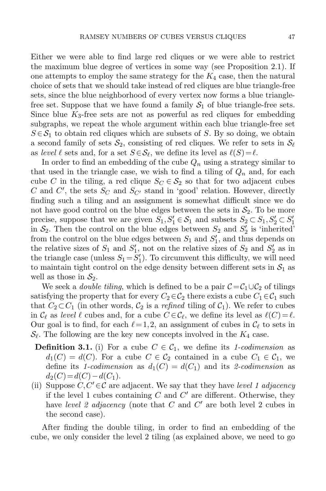Either we were able to find large red cliques or we were able to restrict the maximum blue degree of vertices in some way (see Proposition [2.1\)](#page-4-2). If one attempts to employ the same strategy for the  $K_4$  case, then the natural choice of sets that we should take instead of red cliques are blue triangle-free sets, since the blue neighborhood of every vertex now forms a blue trianglefree set. Suppose that we have found a family  $S_1$  of blue triangle-free sets. Since blue  $K_3$ -free sets are not as powerful as red cliques for embedding subgraphs, we repeat the whole argument within each blue triangle-free set  $S \in \mathcal{S}_1$  to obtain red cliques which are subsets of S. By so doing, we obtain a second family of sets  $S_2$ , consisting of red cliques. We refer to sets in  $S_\ell$ as level  $\ell$  sets and, for a set  $S \in \mathcal{S}_{\ell}$ , we define its level as  $\ell(S) = \ell$ .

In order to find an embedding of the cube  $Q_n$  using a strategy similar to that used in the triangle case, we wish to find a tiling of  $Q_n$  and, for each cube C in the tiling, a red clique  $S_C \in S_2$  so that for two adjacent cubes C and C', the sets  $S_C$  and  $S_{C'}$  stand in 'good' relation. However, directly finding such a tiling and an assignment is somewhat difficult since we do not have good control on the blue edges between the sets in  $\mathcal{S}_2$ . To be more precise, suppose that we are given  $S_1, S'_1 \in S_1$  and subsets  $S_2 \subset S_1, S'_2 \subset S'_1$ in  $S_2$ . Then the control on the blue edges between  $S_2$  and  $S'_2$  is 'inherited' from the control on the blue edges between  $S_1$  and  $S'_1$ , and thus depends on the relative sizes of  $S_1$  and  $S'_1$ , not on the relative sizes of  $S_2$  and  $S'_2$  as in the triangle case (unless  $S_1 = S_1'$ ). To circumvent this difficulty, we will need to maintain tight control on the edge density between different sets in  $S_1$  as well as those in  $S_2$ .

We seek a *double tiling*, which is defined to be a pair  $C = C_1 \cup C_2$  of tilings satisfying the property that for every  $C_2 \in C_2$  there exists a cube  $C_1 \in C_1$  such that  $C_2 \subset C_1$  (in other words,  $C_2$  is a *refined* tiling of  $C_1$ ). We refer to cubes in  $\mathcal{C}_{\ell}$  as level  $\ell$  cubes and, for a cube  $C \in \mathcal{C}_{\ell}$ , we define its level as  $\ell(C) = \ell$ . Our goal is to find, for each  $\ell = 1,2$ , an assignment of cubes in  $\mathcal{C}_{\ell}$  to sets in  $\mathcal{S}_{\ell}$ . The following are the key new concepts involved in the  $K_4$  case.

- **Definition 3.1.** (i) For a cube  $C \in \mathcal{C}_1$ , we define its 1-codimension as  $d_1(C) = d(C)$ . For a cube  $C \in C_2$  contained in a cube  $C_1 \in C_1$ , we define its 1-codimension as  $d_1(C) = d(C_1)$  and its 2-codimension as  $d_2(C)=d(C)-d(C_1).$
- (ii) Suppose  $C, C' \in \mathcal{C}$  are adjacent. We say that they have level 1 adjacency if the level 1 cubes containing  $C$  and  $C'$  are different. Otherwise, they have level 2 adjacency (note that  $C$  and  $C'$  are both level 2 cubes in the second case).

After finding the double tiling, in order to find an embedding of the cube, we only consider the level 2 tiling (as explained above, we need to go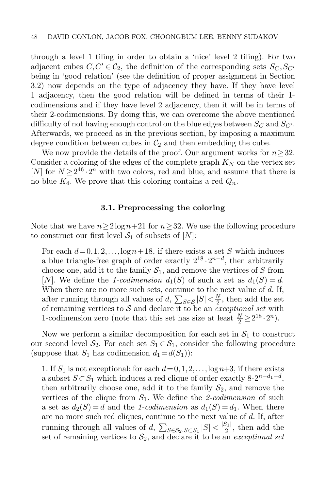through a level 1 tiling in order to obtain a 'nice' level 2 tiling). For two adjacent cubes  $C, C' \in \mathcal{C}_2$ , the definition of the corresponding sets  $S_C, S_{C'}$ being in 'good relation' (see the definition of proper assignment in Section [3.2\)](#page-13-0) now depends on the type of adjacency they have. If they have level 1 adjacency, then the good relation will be defined in terms of their 1 codimensions and if they have level 2 adjacency, then it will be in terms of their 2-codimensions. By doing this, we can overcome the above mentioned difficulty of not having enough control on the blue edges between  $S_C$  and  $S_{C'}$ . Afterwards, we proceed as in the previous section, by imposing a maximum degree condition between cubes in  $\mathcal{C}_2$  and then embedding the cube.

We now provide the details of the proof. Our argument works for  $n \geq 32$ . Consider a coloring of the edges of the complete graph  $K_N$  on the vertex set [N] for  $N \geq 2^{46} \cdot 2^n$  with two colors, red and blue, and assume that there is no blue  $K_4$ . We prove that this coloring contains a red  $Q_n$ .

## 3.1. Preprocessing the coloring

<span id="page-11-0"></span>Note that we have  $n\geq 2\log n+21$  for  $n\geq 32$ . We use the following procedure to construct our first level  $S_1$  of subsets of  $[N]$ :

For each  $d = 0, 1, 2, \ldots$ ,  $\log n + 18$ , if there exists a set S which induces a blue triangle-free graph of order exactly  $2^{18} \cdot 2^{n-d}$ , then arbitrarily choose one, add it to the family  $S_1$ , and remove the vertices of S from [N]. We define the 1-codimension  $d_1(S)$  of such a set as  $d_1(S) = d$ . When there are no more such sets, continue to the next value of  $d$ . If, after running through all values of  $d$ ,  $\sum_{S \in \mathcal{S}} |S| < \frac{N}{2}$  $\frac{N}{2}$ , then add the set of remaining vertices to  $S$  and declare it to be an *exceptional set* with 1-codimension zero (note that this set has size at least  $\frac{N}{2} \geq 2^{18} \cdot 2^n$ ).

Now we perform a similar decomposition for each set in  $S_1$  to construct our second level  $S_2$ . For each set  $S_1 \in S_1$ , consider the following procedure (suppose that  $S_1$  has codimension  $d_1 = d(S_1)$ ):

1. If  $S_1$  is not exceptional: for each  $d=0,1,2,\ldots,\log n+3$ , if there exists a subset  $S \subset S_1$  which induces a red clique of order exactly  $8 \cdot 2^{n-d_1-d}$ , then arbitrarily choose one, add it to the family  $S_2$ , and remove the vertices of the clique from  $S_1$ . We define the 2-codimension of such a set as  $d_2(S) = d$  and the 1-codimension as  $d_1(S) = d_1$ . When there are no more such red cliques, continue to the next value of d. If, after running through all values of  $d$ ,  $\sum_{S \in \mathcal{S}_2, S \subset S_1} |S| < \frac{|S_1|}{2}$  $\frac{51}{2}$ , then add the set of remaining vertices to  $S_2$ , and declare it to be an exceptional set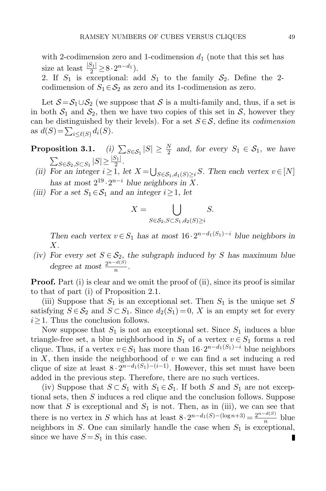with 2-codimension zero and 1-codimension  $d_1$  (note that this set has size at least  $\frac{|S_1|}{2} \geq 8 \cdot 2^{n-d_1}$ .

2. If  $S_1$  is exceptional: add  $S_1$  to the family  $S_2$ . Define the 2codimension of  $S_1 \in S_2$  as zero and its 1-codimension as zero.

Let  $S = S_1 \cup S_2$  (we suppose that S is a multi-family and, thus, if a set is in both  $S_1$  and  $S_2$ , then we have two copies of this set in S, however they can be distinguished by their levels). For a set  $S \in \mathcal{S}$ , define its *codimension* as  $d(S) = \sum_{i \le \ell(S)} d_i(S)$ .

- <span id="page-12-0"></span>**Proposition 3.1.** (i)  $\sum_{S \in S_1} |S| \geq \frac{N}{2}$  and, for every  $S_1 \in S_1$ , we have  $\sum_{S \in \mathcal{S}_2, S \subset S_1} |S| \geq \frac{|S_1|}{2}.$ 
	- (ii) For an integer  $i \geq 1$ , let  $X = \bigcup_{S \in \mathcal{S}_1, d_1(S) \geq i} S$ . Then each vertex  $v \in [N]$ has at most  $2^{19} \tcdot 2^{n-i}$  blue neighbors in X.
- (iii) For a set  $S_1 \in S_1$  and an integer  $i \geq 1$ , let

$$
X = \bigcup_{S \in \mathcal{S}_2, S \subset S_1, d_2(S) \ge i} S.
$$

Then each vertex  $v \in S_1$  has at most  $16 \cdot 2^{n-d_1(S_1)-i}$  blue neighbors in X.

(iv) For every set  $S \in \mathcal{S}_2$ , the subgraph induced by S has maximum blue degree at most  $\frac{2^{n-d(S)}}{n}$  $\frac{a(0)}{n}$ .

**Proof.** Part (i) is clear and we omit the proof of (ii), since its proof is similar to that of part (i) of Proposition [2.1.](#page-4-2)

(iii) Suppose that  $S_1$  is an exceptional set. Then  $S_1$  is the unique set S satisfying  $S \in \mathcal{S}_2$  and  $S \subset S_1$ . Since  $d_2(S_1) = 0$ , X is an empty set for every  $i \geq 1$ . Thus the conclusion follows.

Now suppose that  $S_1$  is not an exceptional set. Since  $S_1$  induces a blue triangle-free set, a blue neighborhood in  $S_1$  of a vertex  $v \in S_1$  forms a red clique. Thus, if a vertex  $v \in S_1$  has more than  $16 \cdot 2^{n-d_1(S_1)-i}$  blue neighbors in  $X$ , then inside the neighborhood of  $v$  we can find a set inducing a red clique of size at least  $8 \cdot 2^{n-d_1(S_1)-(i-1)}$ . However, this set must have been added in the previous step. Therefore, there are no such vertices.

(iv) Suppose that  $S \subset S_1$  with  $S_1 \in S_1$ . If both S and  $S_1$  are not exceptional sets, then S induces a red clique and the conclusion follows. Suppose now that  $S$  is exceptional and  $S_1$  is not. Then, as in (iii), we can see that there is no vertex in S which has at least  $8 \cdot 2^{n-d_1(S) - (\log n + 3)} = \frac{2^{n-d(S)}}{n}$  $\frac{-a(D)}{n}$  blue neighbors in  $S$ . One can similarly handle the case when  $S_1$  is exceptional, since we have  $S = S_1$  in this case. П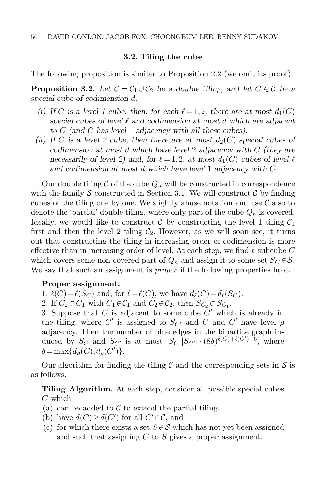#### 3.2. Tiling the cube

<span id="page-13-0"></span>The following proposition is similar to Proposition [2.2](#page-5-0) (we omit its proof).

<span id="page-13-1"></span>**Proposition 3.2.** Let  $C = C_1 \cup C_2$  be a double tiling, and let  $C \in \mathcal{C}$  be a special cube of codimension d.

- (i) If C is a level 1 cube, then, for each  $\ell = 1,2$ , there are at most  $d_1(C)$ special cubes of level  $\ell$  and codimension at most d which are adjacent to C (and C has level 1 adjacency with all these cubes).
- (ii) If C is a level 2 cube, then there are at most  $d_2(C)$  special cubes of codimension at most d which have level 2 adjacency with C (they are necessarily of level 2) and, for  $\ell = 1,2$ , at most  $d_1(C)$  cubes of level  $\ell$ and codimension at most d which have level 1 adjacency with C.

Our double tiling  $\mathcal C$  of the cube  $Q_n$  will be constructed in correspondence with the family S constructed in Section [3.1.](#page-11-0) We will construct  $\mathcal C$  by finding cubes of the tiling one by one. We slightly abuse notation and use  $\mathcal C$  also to denote the 'partial' double tiling, where only part of the cube  $Q_n$  is covered. Ideally, we would like to construct C by constructing the level 1 tiling  $C_1$ first and then the level 2 tiling  $C_2$ . However, as we will soon see, it turns out that constructing the tiling in increasing order of codimension is more effective than in increasing order of level. At each step, we find a subcube C which covers some non-covered part of  $Q_n$  and assign it to some set  $S_C \in \mathcal{S}$ . We say that such an assignment is *proper* if the following properties hold.

#### Proper assignment.

1.  $\ell(C)=\ell(S_C)$  and, for  $\ell=\ell(C)$ , we have  $d_{\ell}(C)=d_{\ell}(S_C)$ . 2. If  $C_2 \subset C_1$  with  $C_1 \in C_1$  and  $C_2 \in C_2$ , then  $S_{C_2} \subset S_{C_1}$ .

3. Suppose that  $C$  is adjacent to some cube  $C'$  which is already in the tiling, where  $C'$  is assigned to  $S_{C'}$  and  $C$  and  $C'$  have level  $\rho$ adjacency. Then the number of blue edges in the bipartite graph induced by  $S_C$  and  $S_{C'}$  is at most  $|S_C||S_{C'}| \cdot (8\delta)^{\ell(\tilde{C})+\ell(C')-\tilde{6}}$ , where  $\delta = \max\{d_{\rho}(C), d_{\rho}(C')\}.$ 

Our algorithm for finding the tiling C and the corresponding sets in  $\mathcal S$  is as follows.

Tiling Algorithm. At each step, consider all possible special cubes C which

- (a) can be added to  $\mathcal C$  to extend the partial tiling,
- (b) have  $d(C) \geq d(C')$  for all  $C' \in \mathcal{C}$ , and
- (c) for which there exists a set  $S \in \mathcal{S}$  which has not yet been assigned and such that assigning  $C$  to  $S$  gives a proper assignment.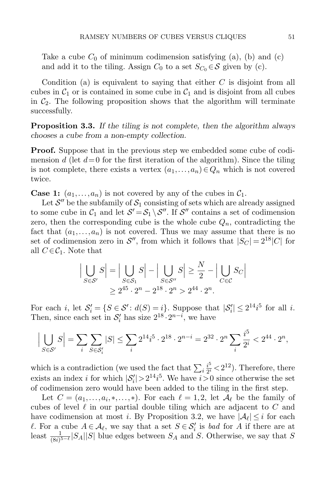Take a cube  $C_0$  of minimum codimension satisfying (a), (b) and (c) and add it to the tiling. Assign  $C_0$  to a set  $S_{C_0} \in \mathcal{S}$  given by (c).

Condition (a) is equivalent to saying that either  $C$  is disjoint from all cubes in  $C_1$  or is contained in some cube in  $C_1$  and is disjoint from all cubes in  $\mathcal{C}_2$ . The following proposition shows that the algorithm will terminate successfully.

Proposition 3.3. If the tiling is not complete, then the algorithm always chooses a cube from a non-empty collection.

**Proof.** Suppose that in the previous step we embedded some cube of codimension d (let  $d=0$  for the first iteration of the algorithm). Since the tiling is not complete, there exists a vertex  $(a_1,..., a_n) \in Q_n$  which is not covered twice.

**Case 1:**  $(a_1,..., a_n)$  is not covered by any of the cubes in  $C_1$ .

Let  $\mathcal{S}''$  be the subfamily of  $\mathcal{S}_1$  consisting of sets which are already assigned to some cube in  $C_1$  and let  $S' = S_1 \setminus S''$ . If  $S''$  contains a set of codimension zero, then the corresponding cube is the whole cube  $Q_n$ , contradicting the fact that  $(a_1,..., a_n)$  is not covered. Thus we may assume that there is no set of codimension zero in  $\mathcal{S}''$ , from which it follows that  $|S_C| = 2^{18}|C|$  for all  $C \in \mathcal{C}_1$ . Note that

$$
\left| \bigcup_{S \in \mathcal{S}'} S \right| = \left| \bigcup_{S \in \mathcal{S}_1} S \right| - \left| \bigcup_{S \in \mathcal{S}''} S \right| \ge \frac{N}{2} - \left| \bigcup_{C \in \mathcal{C}} S_C \right|
$$
  
 
$$
\ge 2^{45} \cdot 2^n - 2^{18} \cdot 2^n > 2^{44} \cdot 2^n.
$$

For each i, let  $S_i' = \{ S \in S' : d(S) = i \}$ . Suppose that  $|S_i'| \leq 2^{14} i^5$  for all i. Then, since each set in  $S_i'$  has size  $2^{18} \cdot 2^{n-i}$ , we have

$$
\Big| \bigcup_{S \in \mathcal{S}'} S \Big| = \sum_i \sum_{S \in \mathcal{S}'_i} |S| \leq \sum_i 2^{14} i^5 \cdot 2^{18} \cdot 2^{n-i} = 2^{32} \cdot 2^n \sum_i \frac{i^5}{2^i} < 2^{44} \cdot 2^n,
$$

which is a contradiction (we used the fact that  $\sum_i \frac{i^5}{2^i}$  $\frac{i^5}{2^i}$  < 2<sup>12</sup>). Therefore, there exists an index *i* for which  $|S_i'| > 2^{14}i^5$ . We have  $i > 0$  since otherwise the set of codimension zero would have been added to the tiling in the first step.

Let  $C = (a_1, \ldots, a_i, \ast, \ldots, \ast)$ . For each  $\ell = 1, 2$ , let  $\mathcal{A}_{\ell}$  be the family of cubes of level  $\ell$  in our partial double tiling which are adjacent to C and have codimension at most *i*. By Proposition [3.2,](#page-13-1) we have  $|\mathcal{A}_{\ell}| \leq i$  for each l. For a cube  $A \in \mathcal{A}_{\ell}$ , we say that a set  $S \in \mathcal{S}'_i$  is bad for A if there are at least  $\frac{1}{(8i)^{5-\ell}}|S_A||S|$  blue edges between  $S_A$  and S. Otherwise, we say that S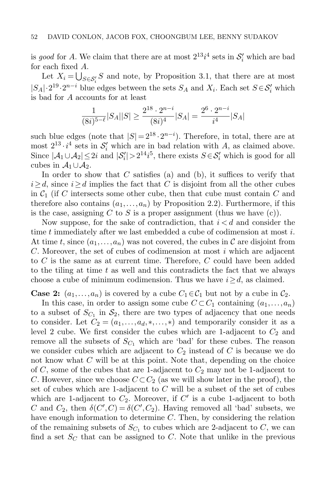is good for A. We claim that there are at most  $2^{13}i^4$  sets in  $S_i'$  which are bad for each fixed A.

Let  $X_i = \bigcup_{S \in \mathcal{S}'_i} S$  and note, by Proposition [3.1,](#page-12-0) that there are at most  $|S_A| \cdot 2^{19} \cdot 2^{n-i}$  blue edges between the sets  $S_A$  and  $X_i$ . Each set  $S \in S'_i$  which is bad for A accounts for at least

$$
\frac{1}{(8i)^{5-\ell}}|S_A||S| \ge \frac{2^{18} \cdot 2^{n-i}}{(8i)^4}|S_A| = \frac{2^6 \cdot 2^{n-i}}{i^4}|S_A|
$$

such blue edges (note that  $|S| = 2^{18} \cdot 2^{n-i}$ ). Therefore, in total, there are at most  $2^{13} \cdot i^4$  sets in  $\mathcal{S}'_i$  which are in bad relation with A, as claimed above. Since  $|\mathcal{A}_1 \cup \mathcal{A}_2| \leq 2i$  and  $|\mathcal{S}'_i| > 2^{14}i^5$ , there exists  $S \in \mathcal{S}'_i$  which is good for all cubes in  $\mathcal{A}_1 \cup \mathcal{A}_2$ .

In order to show that  $C$  satisfies (a) and (b), it suffices to verify that  $i \geq d$ , since  $i \geq d$  implies the fact that C is disjoint from all the other cubes in  $\mathcal{C}_1$  (if C intersects some other cube, then that cube must contain C and therefore also contains  $(a_1,..., a_n)$  by Proposition [2.2\)](#page-5-0). Furthermore, if this is the case, assigning C to S is a proper assignment (thus we have  $(c)$ ).

Now suppose, for the sake of contradiction, that  $i < d$  and consider the time t immediately after we last embedded a cube of codimension at most  $i$ . At time t, since  $(a_1,..., a_n)$  was not covered, the cubes in C are disjoint from  $C.$  Moreover, the set of cubes of codimension at most i which are adjacent to C is the same as at current time. Therefore, C could have been added to the tiling at time  $t$  as well and this contradicts the fact that we always choose a cube of minimum codimension. Thus we have  $i \geq d$ , as claimed.

**Case 2:**  $(a_1,..., a_n)$  is covered by a cube  $C_1 \in C_1$  but not by a cube in  $C_2$ .

In this case, in order to assign some cube  $C \subset C_1$  containing  $(a_1,..., a_n)$ to a subset of  $S_{C_1}$  in  $S_2$ , there are two types of adjacency that one needs to consider. Let  $C_2 = (a_1, \ldots, a_d, \ast, \ldots, \ast)$  and temporarily consider it as a level 2 cube. We first consider the cubes which are 1-adjacent to  $C_2$  and remove all the subsets of  $S_{C_1}$  which are 'bad' for these cubes. The reason we consider cubes which are adjacent to  $C_2$  instead of  $C$  is because we do not know what C will be at this point. Note that, depending on the choice of C, some of the cubes that are 1-adjacent to  $C_2$  may not be 1-adjacent to C. However, since we choose  $C \subset C_2$  (as we will show later in the proof), the set of cubes which are 1-adjacent to  $C$  will be a subset of the set of cubes which are 1-adjacent to  $C_2$ . Moreover, if  $C'$  is a cube 1-adjacent to both C and  $C_2$ , then  $\delta(C', C) = \delta(C', C_2)$ . Having removed all 'bad' subsets, we have enough information to determine C. Then, by considering the relation of the remaining subsets of  $S_{C_1}$  to cubes which are 2-adjacent to C, we can find a set  $S_C$  that can be assigned to C. Note that unlike in the previous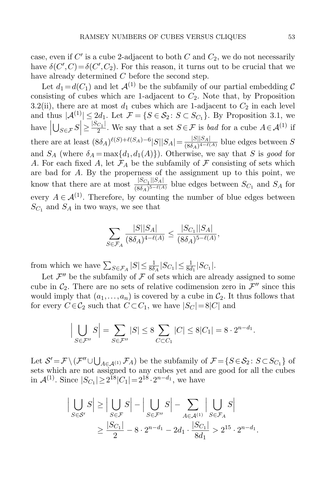case, even if  $C'$  is a cube 2-adjacent to both  $C$  and  $C_2$ , we do not necessarily have  $\delta(C', C) = \delta(C', C_2)$ . For this reason, it turns out to be crucial that we have already determined C before the second step.

Let  $d_1 = d(C_1)$  and let  $\mathcal{A}^{(1)}$  be the subfamily of our partial embedding C consisting of cubes which are 1-adjacent to  $C_2$ . Note that, by Proposition [3.2\(](#page-13-1)ii), there are at most  $d_1$  cubes which are 1-adjacent to  $C_2$  in each level and thus  $|\mathcal{A}^{(1)}| \leq 2d_1$ . Let  $\mathcal{F} = \{S \in \mathcal{S}_2 : S \subset S_{C_1}\}$ . By Proposition [3.1,](#page-12-0) we have  $\left| \bigcup_{S \in \mathcal{F}} S \right| \geq \frac{|S_{C_1}|}{2}$  $\overline{\phantom{a}}$  $\frac{C_1}{2}$ . We say that a set  $S \in \mathcal{F}$  is *bad* for a cube  $A \in \mathcal{A}^{(1)}$  if there are at least  $(8\delta_A)^{\ell(S)+\ell(S_A)-6}$  $|S||S_A| = \frac{|S||S_A|}{(8\delta_A)^{4-\ell(S_A)}},$  $\frac{|S||S_A|}{(8\delta_A)^{4-\ell(A)}}$  blue edges between S and  $S_A$  (where  $\delta_A = \max\{d_1, d_1(A)\}\)$ . Otherwise, we say that S is good for A. For each fixed A, let  $\mathcal{F}_A$  be the subfamily of  $\mathcal F$  consisting of sets which are bad for A. By the properness of the assignment up to this point, we know that there are at most  $\frac{|S_{C_1}||S_A|}{(8\delta_1)\delta_1}$  $\frac{|OC_1||DA|}{(8\delta_A)^{5-\ell(A)}}$  blue edges between  $S_{C_1}$  and  $S_A$  for every  $A \in \mathcal{A}^{(1)}$ . Therefore, by counting the number of blue edges between  $S_{C_1}$  and  $S_A$  in two ways, we see that

$$
\sum_{S \in \mathcal{F}_A} \frac{|S||S_A|}{(8\delta_A)^{4-\ell(A)}} \le \frac{|S_{C_1}||S_A|}{(8\delta_A)^{5-\ell(A)}},
$$

from which we have  $\sum_{S \in \mathcal{F}_A} |S| \leq \frac{1}{8\delta_A} |S_{C_1}| \leq \frac{1}{8d_1} |S_{C_1}|$ .

Let  $\mathcal{F}''$  be the subfamily of  $\mathcal F$  of sets which are already assigned to some cube in  $\mathcal{C}_2$ . There are no sets of relative codimension zero in  $\mathcal{F}''$  since this would imply that  $(a_1,..., a_n)$  is covered by a cube in  $C_2$ . It thus follows that for every  $C \in \mathcal{C}_2$  such that  $C \subset C_1$ , we have  $|S_C| = 8|C|$  and

$$
\left|\bigcup_{S\in\mathcal{F}''}S\right| = \sum_{S\in\mathcal{F}''}|S| \leq 8\sum_{C\subset C_1}|C| \leq 8|C_1| = 8\cdot 2^{n-d_1}.
$$

Let  $S' = \mathcal{F} \setminus (\mathcal{F}'' \cup \bigcup_{A \in \mathcal{A}^{(1)}} \mathcal{F}_A)$  be the subfamily of  $\mathcal{F} = \{S \in \mathcal{S}_2 \colon S \subset S_{C_1}\}$  of sets which are not assigned to any cubes yet and are good for all the cubes in  $\mathcal{A}^{(1)}$ . Since  $|S_{C_1}| \geq 2^{18} |C_1| = 2^{18} \cdot 2^{n-d_1}$ , we have

$$
\left| \bigcup_{S \in \mathcal{S}'} S \right| \ge \left| \bigcup_{S \in \mathcal{F}} S \right| - \left| \bigcup_{S \in \mathcal{F}''} S \right| - \sum_{A \in \mathcal{A}^{(1)}} \left| \bigcup_{S \in \mathcal{F}_A} S \right|
$$
  
 
$$
\ge \frac{|S_{C_1}|}{2} - 8 \cdot 2^{n - d_1} - 2d_1 \cdot \frac{|S_{C_1}|}{8d_1} > 2^{15} \cdot 2^{n - d_1}.
$$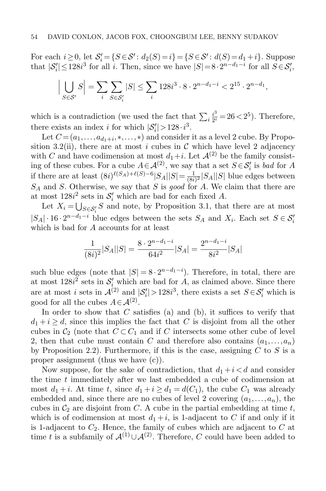For each  $i \ge 0$ , let  $S_i' = \{S \in S' : d_2(S) = i\} = \{S \in S' : d(S) = d_1 + i\}$ . Suppose that  $|S'_i| \le 128i^3$  for all i. Then, since we have  $|S|=8 \cdot 2^{n-d_1-i}$  for all  $S \in \mathcal{S}'_i$ ,

$$
\left| \bigcup_{S \in \mathcal{S}'} S \right| = \sum_{i} \sum_{S \in \mathcal{S}'_i} |S| \le \sum_{i} 128i^3 \cdot 8 \cdot 2^{n-d_1-i} < 2^{15} \cdot 2^{n-d_1},
$$

which is a contradiction (we used the fact that  $\sum_i \frac{i^3}{2^i}$  $\frac{i^3}{2^i} = 26 < 2^5$ ). Therefore, there exists an index *i* for which  $|\mathcal{S}'_i| > 128 \cdot i^3$ .

Let  $C = (a_1, \ldots, a_{d_1+i}, \ldots, \ast)$  and consider it as a level 2 cube. By Propo-sition [3.2\(](#page-13-1)ii), there are at most i cubes in  $\mathcal C$  which have level 2 adjacency with C and have codimension at most  $d_1+i$ . Let  $\mathcal{A}^{(2)}$  be the family consisting of these cubes. For a cube  $A \in \mathcal{A}^{(2)}$ , we say that a set  $S \in \mathcal{S}'_i$  is bad for A if there are at least  $(8i)^{\ell(S_A)+\ell(S)-6} |S_A||S| = \frac{1}{(8i)^{\ell(S_A)+\ell(S)-6}}$  $\frac{1}{(8i)^2} |S_A||S|$  blue edges between  $S_A$  and S. Otherwise, we say that S is good for A. We claim that there are at most  $128i^2$  sets in  $S_i'$  which are bad for each fixed A.

Let  $X_i = \bigcup_{S \in \mathcal{S}'_i} S$  and note, by Proposition [3.1,](#page-12-0) that there are at most  $|S_A| \cdot 16 \cdot 2^{n-d_1-i}$  blue edges between the sets  $S_A$  and  $X_i$ . Each set  $S \in \mathcal{S}'_i$ which is bad for A accounts for at least

$$
\frac{1}{(8i)^2}|S_A||S| = \frac{8 \cdot 2^{n-d_1-i}}{64i^2}|S_A| = \frac{2^{n-d_1-i}}{8i^2}|S_A|
$$

such blue edges (note that  $|S| = 8 \cdot 2^{n-d_1-i}$ ). Therefore, in total, there are at most  $128i^2$  sets in  $\mathcal{S}'_i$  which are bad for A, as claimed above. Since there are at most *i* sets in  $\mathcal{A}^{(2)}$  and  $|\mathcal{S}'_i| > 128i^3$ , there exists a set  $S \in \mathcal{S}'_i$  which is good for all the cubes  $A \in \mathcal{A}^{(2)}$ .

In order to show that  $C$  satisfies (a) and (b), it suffices to verify that  $d_1 + i \geq d$ , since this implies the fact that C is disjoint from all the other cubes in  $C_2$  (note that  $C \subset C_1$  and if C intersects some other cube of level 2, then that cube must contain C and therefore also contains  $(a_1,..., a_n)$ by Proposition [2.2\)](#page-5-0). Furthermore, if this is the case, assigning  $C$  to  $S$  is a proper assignment (thus we have (c)).

Now suppose, for the sake of contradiction, that  $d_1 + i < d$  and consider the time t immediately after we last embedded a cube of codimension at most  $d_1 + i$ . At time t, since  $d_1 + i \geq d_1 = d(C_1)$ , the cube  $C_1$  was already embedded and, since there are no cubes of level 2 covering  $(a_1, \ldots, a_n)$ , the cubes in  $C_2$  are disjoint from C. A cube in the partial embedding at time t, which is of codimension at most  $d_1 + i$ , is 1-adjacent to C if and only if it is 1-adjacent to  $C_2$ . Hence, the family of cubes which are adjacent to  $C$  at time t is a subfamily of  $\mathcal{A}^{(1)} \cup \mathcal{A}^{(2)}$ . Therefore, C could have been added to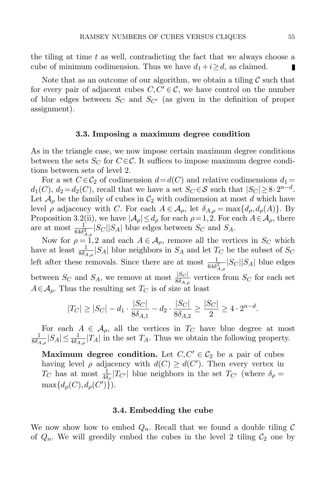the tiling at time  $t$  as well, contradicting the fact that we always choose a cube of minimum codimension. Thus we have  $d_1 + i \geq d$ , as claimed. П

Note that as an outcome of our algorithm, we obtain a tiling  $\mathcal C$  such that for every pair of adjacent cubes  $C, C' \in \mathcal{C}$ , we have control on the number of blue edges between  $S_C$  and  $S_{C'}$  (as given in the definition of proper assignment).

#### 3.3. Imposing a maximum degree condition

<span id="page-18-0"></span>As in the triangle case, we now impose certain maximum degree conditions between the sets  $S_C$  for  $C \in \mathcal{C}$ . It suffices to impose maximum degree conditions between sets of level 2.

For a set  $C \in \mathcal{C}_2$  of codimension  $d = d(C)$  and relative codimensions  $d_1 =$  $d_1(C)$ ,  $d_2 = d_2(C)$ , recall that we have a set  $S_C \in \mathcal{S}$  such that  $|S_C| \geq 8 \cdot 2^{n-d}$ . Let  $\mathcal{A}_{\rho}$  be the family of cubes in  $\mathcal{C}_2$  with codimension at most d which have level *ρ* adjacency with *C*. For each  $A \in \mathcal{A}_{\rho}$ , let  $\delta_{A,\rho} = \max\{d_{\rho}, d_{\rho}(A)\}\$ . By Proposition [3.2\(](#page-13-1)ii), we have  $|\mathcal{A}_{\rho}| \leq d_{\rho}$  for each  $\rho = 1, 2$ . For each  $A \in \mathcal{A}_{\rho}$ , there are at most  $\frac{1}{64\delta_{A,\rho}^2}|S_C||S_A|$  blue edges between  $S_C$  and  $S_A$ .

Now for  $\rho = 1,2$  and each  $A \in \mathcal{A}_{\rho}$ , remove all the vertices in  $S_C$  which have at least  $\frac{1}{8\delta_{A,\rho}}|S_A|$  blue neighbors in  $S_A$  and let  $T_C$  be the subset of  $S_C$ left after these removals. Since there are at most  $\frac{1}{64\delta_{A,\rho}^2}|S_C||S_A|$  blue edges between  $S_C$  and  $S_A$ , we remove at most  $\frac{|S_C|}{8\delta_{A,\rho}}$  vertices from  $S_C$  for each set  $A \in \mathcal{A}_{\rho}$ . Thus the resulting set  $T_C$  is of size at least

$$
|T_C| \ge |S_C| - d_1 \cdot \frac{|S_C|}{8\delta_{A,1}} - d_2 \cdot \frac{|S_C|}{8\delta_{A,2}} \ge \frac{|S_C|}{2} \ge 4 \cdot 2^{n-d}.
$$

For each  $A \in \mathcal{A}_{\rho}$ , all the vertices in  $T_C$  have blue degree at most 1  $\frac{1}{8\delta_{A,\rho}}|S_A|\leq \frac{1}{4\delta_{A,\rho}}|T_A|$  in the set  $T_A$ . Thus we obtain the following property.

Maximum degree condition. Let  $C, C' \in C_2$  be a pair of cubes having level  $\rho$  adjacency with  $d(C) \geq d(C')$ . Then every vertex in  $T_C$  has at most  $\frac{1}{4\delta_\rho}|T_{C'}|$  blue neighbors in the set  $T_{C'}$  (where  $\delta_\rho =$  $\max\{d_{\rho}(C), d_{\rho}(C')\}.$ 

#### 3.4. Embedding the cube

We now show how to embed  $Q_n$ . Recall that we found a double tiling C of  $Q_n$ . We will greedily embed the cubes in the level 2 tiling  $C_2$  one by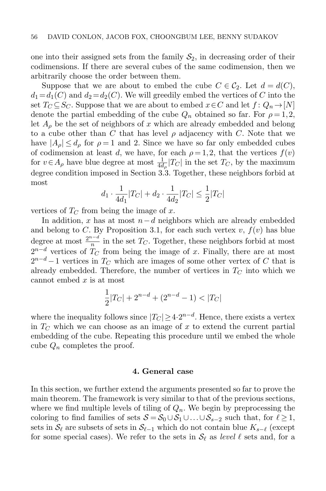one into their assigned sets from the family  $S_2$ , in decreasing order of their codimensions. If there are several cubes of the same codimension, then we arbitrarily choose the order between them.

Suppose that we are about to embed the cube  $C \in \mathcal{C}_2$ . Let  $d = d(C)$ ,  $d_1 = d_1(C)$  and  $d_2 = d_2(C)$ . We will greedily embed the vertices of C into the set  $T_C \subseteq S_C$ . Suppose that we are about to embed  $x \in C$  and let  $f: Q_n \to [N]$ denote the partial embedding of the cube  $Q_n$  obtained so far. For  $\rho = 1, 2,$ let  $A_{\rho}$  be the set of neighbors of x which are already embedded and belong to a cube other than  $C$  that has level  $\rho$  adjacency with  $C$ . Note that we have  $|A_{\rho}| \leq d_{\rho}$  for  $\rho = 1$  and 2. Since we have so far only embedded cubes of codimension at least d, we have, for each  $\rho = 1, 2$ , that the vertices  $f(v)$ for  $v \in A_\rho$  have blue degree at most  $\frac{1}{4d_\rho}|T_C|$  in the set  $T_C$ , by the maximum degree condition imposed in Section [3.3.](#page-18-0) Together, these neighbors forbid at most

$$
d_1 \cdot \frac{1}{4d_1}|T_C| + d_2 \cdot \frac{1}{4d_2}|T_C| \le \frac{1}{2}|T_C|
$$

vertices of  $T_C$  from being the image of x.

In addition, x has at most  $n-d$  neighbors which are already embedded and belong to C. By Proposition [3.1,](#page-12-0) for each such vertex  $v, f(v)$  has blue degree at most  $\frac{2^{n-d}}{n}$  $\frac{1}{n}$  in the set  $T_C$ . Together, these neighbors forbid at most  $2^{n-d}$  vertices of  $T_C$  from being the image of x. Finally, there are at most  $2^{n-d}-1$  vertices in  $T_C$  which are images of some other vertex of C that is already embedded. Therefore, the number of vertices in  $T_{\text{C}}$  into which we cannot embed  $x$  is at most

$$
\frac{1}{2}|T_C| + 2^{n-d} + (2^{n-d} - 1) < |T_C|
$$

where the inequality follows since  $|T_C| \geq 4 \cdot 2^{n-d}$ . Hence, there exists a vertex in  $T_C$  which we can choose as an image of x to extend the current partial embedding of the cube. Repeating this procedure until we embed the whole cube  $Q_n$  completes the proof.

#### 4. General case

<span id="page-19-0"></span>In this section, we further extend the arguments presented so far to prove the main theorem. The framework is very similar to that of the previous sections, where we find multiple levels of tiling of  $Q_n$ . We begin by preprocessing the coloring to find families of sets  $S = S_0 \cup S_1 \cup ... \cup S_{s-2}$  such that, for  $\ell \geq 1$ , sets in  $\mathcal{S}_\ell$  are subsets of sets in  $\mathcal{S}_{\ell-1}$  which do not contain blue  $K_{s-\ell}$  (except for some special cases). We refer to the sets in  $\mathcal{S}_{\ell}$  as level  $\ell$  sets and, for a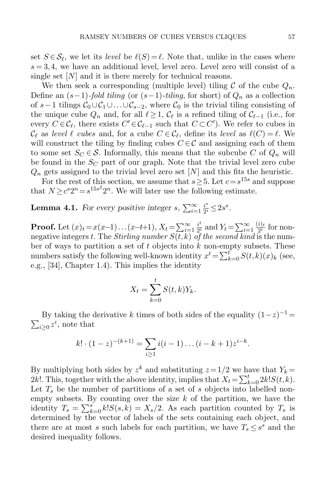set  $S \in \mathcal{S}_{\ell}$ , we let its *level* be  $\ell(S) = \ell$ . Note that, unlike in the cases where  $s = 3, 4$ , we have an additional level, level zero. Level zero will consist of a single set  $[N]$  and it is there merely for technical reasons.

We then seek a corresponding (multiple level) tiling C of the cube  $Q_n$ . Define an  $(s-1)$ -fold tiling (or  $(s-1)$ -tiling, for short) of  $Q_n$  as a collection of s−1 tilings  $C_0 \cup C_1 \cup ... \cup C_{s-2}$ , where  $C_0$  is the trivial tiling consisting of the unique cube  $Q_n$  and, for all  $\ell \geq 1$ ,  $\mathcal{C}_{\ell}$  is a refined tiling of  $\mathcal{C}_{\ell-1}$  (i.e., for every  $C \in \mathcal{C}_{\ell}$ , there exists  $C' \in \mathcal{C}_{\ell-1}$  such that  $C \subset C'$ ). We refer to cubes in  $\mathcal{C}_{\ell}$  as level  $\ell$  cubes and, for a cube  $C \in \mathcal{C}_{\ell}$ , define its level as  $\ell(C) = \ell$ . We will construct the tiling by finding cubes  $C \in \mathcal{C}$  and assigning each of them to some set  $S_C \in \mathcal{S}$ . Informally, this means that the subcube C of  $Q_n$  will be found in the  $S_C$  part of our graph. Note that the trivial level zero cube  $Q_n$  gets assigned to the trivial level zero set  $[N]$  and this fits the heuristic.

For the rest of this section, we assume that  $s \geq 5$ . Let  $c = s^{15s}$  and suppose that  $N \geq c^s 2^n = s^{15s^2} 2^n$ . We will later use the following estimate.

<span id="page-20-0"></span>**Lemma 4.1.** For every positive integer s,  $\sum_{i=1}^{\infty} \frac{i^s}{2^i}$  $\frac{i^s}{2^i} \leq 2s^s$ .

**Proof.** Let  $(x)_t = x(x-1)...(x-t+1), X_t = \sum_{i=1}^{\infty} \frac{i^t}{2^i}$  $\frac{i^t}{2^i}$  and  $Y_t = \sum_{i=1}^{\infty}$  $(i)_t$  $\frac{i}{2^i}$  for nonnegative integers t. The *Stirling number*  $S(t, k)$  *of the second kind* is the number of ways to partition a set of  $t$  objects into  $k$  non-empty subsets. These numbers satisfy the following well-known identity  $x^t = \sum_{k=0}^t S(t,k)(x)_k$  (see, e.g., [\[34\]](#page-32-2), Chapter 1.4). This implies the identity

$$
X_t = \sum_{k=0}^t S(t,k)Y_k.
$$

By taking the derivative k times of both sides of the equality  $(1-z)^{-1}$  =  $\sum_{i\geq 0} z^i$ , note that

$$
k! \cdot (1-z)^{-(k+1)} = \sum_{i \ge 1} i(i-1) \dots (i-k+1) z^{i-k}.
$$

By multiplying both sides by  $z^k$  and substituting  $z = 1/2$  we have that  $Y_k =$ 2k!. This, together with the above identity, implies that  $X_t = \sum_{k=0}^t 2k!S(t, k)$ . Let  $T<sub>s</sub>$  be the number of partitions of a set of s objects into labelled nonempty subsets. By counting over the size  $k$  of the partition, we have the identity  $T_s = \sum_{k=0}^s k! S(s, k) = X_s/2$ . As each partition counted by  $T_s$  is determined by the vector of labels of the sets containing each object, and there are at most s such labels for each partition, we have  $T_s \leq s^s$  and the desired inequality follows.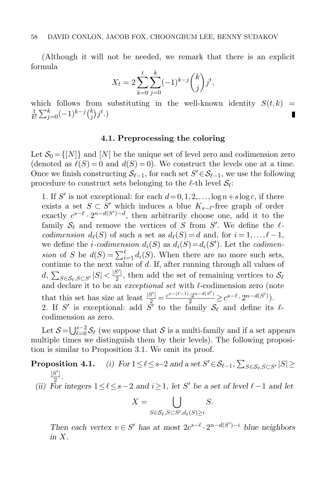(Although it will not be needed, we remark that there is an explicit formula

$$
X_t = 2\sum_{k=0}^t \sum_{j=0}^k (-1)^{k-j} \binom{k}{j} j^t,
$$

which follows from substituting in the well-known identity  $S(t, k)$  =  $\frac{1}{k!}\sum_{j=0}^k (-1)^{k-j} \binom{k}{j}$ 1  $_j^{k})j^{t}$ .) П

# 4.1. Preprocessing the coloring

<span id="page-21-0"></span>Let  $S_0 = \{N\}$  and  $[N]$  be the unique set of level zero and codimension zero (denoted as  $\ell(S) = 0$  and  $d(S) = 0$ ). We construct the levels one at a time. Once we finish constructing  $\mathcal{S}_{\ell-1}$ , for each set  $S' \in \mathcal{S}_{\ell-1}$ , we use the following procedure to construct sets belonging to the  $\ell$ -th level  $\mathcal{S}_{\ell}$ :

1. If S' is not exceptional: for each  $d=0,1,2,\ldots,\log n+s\log c$ , if there exists a set  $S \subset S'$  which induces a blue  $K_{s-\ell}$ -free graph of order exactly  $c^{s-\ell} \cdot 2^{n-d(S')-d}$ , then arbitrarily choose one, add it to the family  $\mathcal{S}_{\ell}$  and remove the vertices of S from S'. We define the  $\ell$ codimension  $d_{\ell}(S)$  of such a set as  $d_{\ell}(S) = d$  and, for  $i = 1, \ldots, \ell - 1$ , we define the *i*-codimension  $d_i(S)$  as  $d_i(S) = d_i(S')$ . Let the codimension of S be  $d(S) = \sum_{i=1}^{\ell} d_i(S)$ . When there are no more such sets, continue to the next value of d. If, after running through all values of d,  $\sum_{S \in \mathcal{S}_{\ell}, S \subset S'} |S| < \frac{|S'|}{2}$  $\frac{3}{2}$ , then add the set of remaining vertices to  $\mathcal{S}_{\ell}$ and declare it to be an *exceptional set* with  $\ell$ -codimension zero (note that this set has size at least  $\frac{|S'|}{2} = \frac{c^{s-(\ell-1)} \cdot 2^{n-d(S')}}{2} \geq c^{s-\ell} \cdot 2^{n-d(S')}$ . 2. If S' is exceptional: add  $\tilde{S}'$  to the family  $S_{\ell}$  and define its  $\ell$ codimension as zero.

Let  $S = \bigcup_{\ell=0}^{s-2} S_{\ell}$  (we suppose that S is a multi-family and if a set appears multiple times we distinguish them by their levels). The following proposition is similar to Proposition [3.1.](#page-12-0) We omit its proof.

#### <span id="page-21-1"></span>**Proposition 4.1.** (i) For  $1 \leq \ell \leq s-2$  and a set  $S' \in \mathcal{S}_{\ell-1}$ ,  $\sum_{S \in \mathcal{S}_{\ell}, S \subset S'} |S| \geq$  $|S$  $\prime$  $rac{5}{2}$ .

(ii) For integers  $1 \leq \ell \leq s-2$  and  $i \geq 1$ , let S' be a set of level  $\ell-1$  and let

$$
X = \bigcup_{S \in \mathcal{S}_{\ell}, S \subset S', d_{\ell}(S) \geq i} S.
$$

Then each vertex  $v \in S'$  has at most  $2c^{s-\ell} \cdot 2^{n-d(S')-i}$  blue neighbors in X.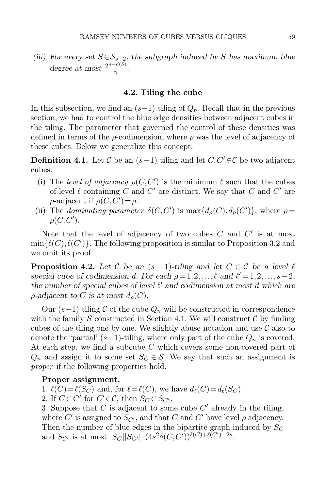(iii) For every set  $S \in S_{s-2}$ , the subgraph induced by S has maximum blue degree at most  $\frac{2^{n-d(S)}}{n}$  $\frac{a(x)}{n}$ .

#### 4.2. Tiling the cube

In this subsection, we find an  $(s-1)$ -tiling of  $Q_n$ . Recall that in the previous section, we had to control the blue edge densities between adjacent cubes in the tiling. The parameter that governed the control of these densities was defined in terms of the  $\rho$ -codimension, where  $\rho$  was the level of adjacency of these cubes. Below we generalize this concept.

**Definition 4.1.** Let C be an  $(s-1)$ -tiling and let  $C, C' \in \mathcal{C}$  be two adjacent cubes.

- (i) The level of adjacency  $\rho(C, C')$  is the minimum  $\ell$  such that the cubes of level  $\ell$  containing C and C' are distinct. We say that C and C' are  $\rho$ -adjacent if  $\rho(C, C') = \rho$ .
- (ii) The dominating parameter  $\delta(C, C')$  is  $\max\{d_{\rho}(C), d_{\rho}(C')\}$ , where  $\rho =$  $\rho(C,C').$

Note that the level of adjacency of two cubes  $C$  and  $C'$  is at most  $min{(\ell(C), \ell(C'))}$ . The following proposition is similar to Proposition [3.2](#page-13-1) and we omit its proof.

<span id="page-22-0"></span>**Proposition 4.2.** Let C be an  $(s-1)$ -tiling and let  $C \in \mathcal{C}$  be a level  $\ell$ special cube of codimension d. For each  $\rho = 1, 2, \ldots, \ell$  and  $\ell' = 1, 2, \ldots, s-2$ , the number of special cubes of level  $\ell'$  and codimension at most d which are  $\rho$ -adjacent to C is at most  $d_{\rho}(C)$ .

Our  $(s-1)$ -tiling C of the cube  $Q_n$  will be constructed in correspondence with the family S constructed in Section [4.1.](#page-21-0) We will construct  $\mathcal C$  by finding cubes of the tiling one by one. We slightly abuse notation and use  $\mathcal C$  also to denote the 'partial'  $(s-1)$ -tiling, where only part of the cube  $Q_n$  is covered. At each step, we find a subcube  $C$  which covers some non-covered part of  $Q_n$  and assign it to some set  $S_C \in \mathcal{S}$ . We say that such an assignment is proper if the following properties hold.

#### Proper assignment.

1.  $\ell(C)=\ell(S_C)$  and, for  $\ell=\ell(C)$ , we have  $d_{\ell}(C)=d_{\ell}(S_C)$ .

2. If  $C \subset C'$  for  $C' \in \mathcal{C}$ , then  $S_C \subset S_{C'}$ .

3. Suppose that  $C$  is adjacent to some cube  $C'$  already in the tiling, where  $C'$  is assigned to  $S_{C'}$ , and that  $C$  and  $C'$  have level  $\rho$  adjacency. Then the number of blue edges in the bipartite graph induced by  $S_C$ and  $S_{C'}$  is at most  $|S_C||S_{C'}| \cdot (4s^2 \delta(C, C'))^{\ell(C)+\ell(C')-2s}$ .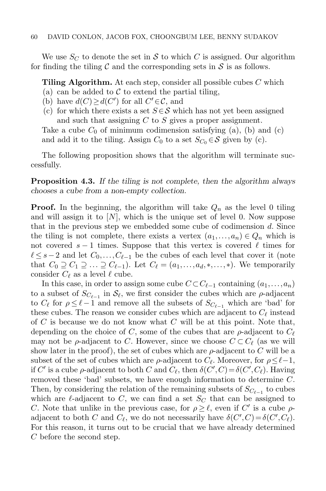We use  $S_C$  to denote the set in S to which C is assigned. Our algorithm for finding the tiling  $\mathcal C$  and the corresponding sets in  $\mathcal S$  is as follows.

**Tiling Algorithm.** At each step, consider all possible cubes  $C$  which

- (a) can be added to  $\mathcal C$  to extend the partial tiling,
- (b) have  $d(C) \geq d(C')$  for all  $C' \in \mathcal{C}$ , and
- (c) for which there exists a set  $S \in \mathcal{S}$  which has not yet been assigned and such that assigning C to S gives a proper assignment.

Take a cube  $C_0$  of minimum codimension satisfying (a), (b) and (c) and add it to the tiling. Assign  $C_0$  to a set  $S_{C_0} \in \mathcal{S}$  given by (c).

The following proposition shows that the algorithm will terminate successfully.

**Proposition 4.3.** If the tiling is not complete, then the algorithm always chooses a cube from a non-empty collection.

**Proof.** In the beginning, the algorithm will take  $Q_n$  as the level 0 tiling and will assign it to  $[N]$ , which is the unique set of level 0. Now suppose that in the previous step we embedded some cube of codimension d. Since the tiling is not complete, there exists a vertex  $(a_1,..., a_n) \in Q_n$  which is not covered  $s - 1$  times. Suppose that this vertex is covered  $\ell$  times for  $\ell \leq s-2$  and let  $C_0,\ldots,C_{\ell-1}$  be the cubes of each level that cover it (note that  $C_0 \supseteq C_1 \supseteq \ldots \supseteq C_{\ell-1}$ . Let  $C_{\ell} = (a_1,\ldots,a_d,\ast,\ldots,\ast)$ . We temporarily consider  $C_{\ell}$  as a level  $\ell$  cube.

In this case, in order to assign some cube  $C \subset C_{\ell-1}$  containing  $(a_1,..., a_n)$ to a subset of  $S_{C_{\ell-1}}$  in  $\mathcal{S}_{\ell}$ , we first consider the cubes which are  $\rho$ -adjacent to  $C_{\ell}$  for  $\rho \leq \ell - 1$  and remove all the subsets of  $S_{C_{\ell-1}}$  which are 'bad' for these cubes. The reason we consider cubes which are adjacent to  $C_{\ell}$  instead of  $C$  is because we do not know what  $C$  will be at this point. Note that, depending on the choice of C, some of the cubes that are  $\rho$ -adjacent to  $C_{\ell}$ may not be  $\rho$ -adjacent to C. However, since we choose  $C \subset C_{\ell}$  (as we will show later in the proof), the set of cubes which are  $\rho$ -adjacent to C will be a subset of the set of cubes which are  $\rho$ -adjacent to  $C_{\ell}$ . Moreover, for  $\rho \leq \ell - 1$ , if C' is a cube  $\rho$ -adjacent to both C and  $C_{\ell}$ , then  $\delta(C', C) = \delta(C', C_{\ell})$ . Having removed these 'bad' subsets, we have enough information to determine C. Then, by considering the relation of the remaining subsets of  $S_{C_{\ell-1}}$  to cubes which are  $\ell$ -adjacent to C, we can find a set  $S_C$  that can be assigned to C. Note that unlike in the previous case, for  $\rho \geq \ell$ , even if C' is a cube  $\rho$ adjacent to both C and  $C_{\ell}$ , we do not necessarily have  $\delta(C', C) = \delta(C', C_{\ell})$ . For this reason, it turns out to be crucial that we have already determined C before the second step.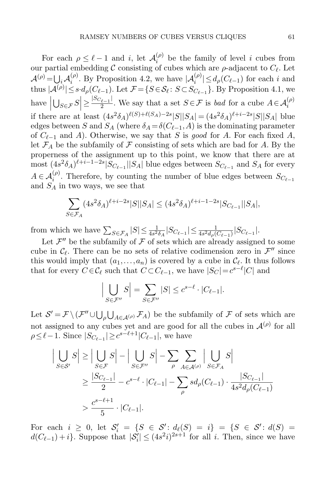For each  $\rho \leq \ell - 1$  and i, let  $\mathcal{A}_i^{(\rho)}$  $\sum_{i=1}^{(p)}$  be the family of level i cubes from our partial embedding C consisting of cubes which are  $\rho$ -adjacent to  $C_{\ell}$ . Let  $\mathcal{A}^{(\rho)} = \bigcup_i \mathcal{A}_i^{(\rho)}$ . By Proposition [4.2,](#page-22-0) we have  $|\mathcal{A}_i^{(\rho)}| \leq d_\rho(C_{\ell-1})$  for each i and thus  $|A^{(\rho)}| \leq s \cdot d_{\rho}(C_{\ell-1})$ . Let  $\mathcal{F} = \{S \in \mathcal{S}_{\ell} : S \subset S_{C_{\ell-1}}\}$ . By Proposition [4.1,](#page-21-1) we have  $\left| \bigcup_{S \in \mathcal{F}} S \right| \geq \frac{|S_{C_{\ell-1}}|}{2}$  $\overline{\phantom{a}}$  $\frac{2}{2}$ . We say that a set  $S \in \mathcal{F}$  is *bad* for a cube  $A \in \mathcal{A}_i^{(\rho)}$ if there are at least  $(4s^2\delta_A)^{\ell(S)+\ell(S_A)-2s} |S||S_A| = (4s^2\delta_A)^{\ell+i-2s} |S||S_A|$  blue edges between S and  $S_A$  (where  $\delta_A = \delta(C_{\ell-1},A)$  is the dominating parameter of  $C_{\ell-1}$  and A). Otherwise, we say that S is good for A. For each fixed A, let  $\mathcal{F}_A$  be the subfamily of  $\mathcal F$  consisting of sets which are bad for A. By the properness of the assignment up to this point, we know that there are at most  $(4s^2\delta_A)^{\ell+i-1-2s}|S_{C_{\ell-1}}||S_A|$  blue edges between  $S_{C_{\ell-1}}$  and  $S_A$  for every  $A \in \mathcal{A}_i^{(\rho)}$ . Therefore, by counting the number of blue edges between  $S_{C_{\ell-1}}$ and  $S_A$  in two ways, we see that

$$
\sum_{S \in \mathcal{F}_A} (4s^2 \delta_A)^{\ell + i - 2s} |S| |S_A| \le (4s^2 \delta_A)^{\ell + i - 1 - 2s} |S_{C_{\ell - 1}}| |S_A|,
$$

from which we have  $\sum_{S \in \mathcal{F}_A} |S| \leq \frac{1}{4s^2 \delta_A} |S_{C_{\ell-1}}| \leq \frac{1}{4s^2 d_{\rho}(C_{\ell-1})} |S_{C_{\ell-1}}|$ .

Let  $\mathcal{F}''$  be the subfamily of  $\mathcal F$  of sets which are already assigned to some cube in  $\mathcal{C}_{\ell}$ . There can be no sets of relative codimension zero in  $\mathcal{F}''$  since this would imply that  $(a_1, \ldots, a_n)$  is covered by a cube in  $\mathcal{C}_{\ell}$ . It thus follows that for every  $C \in \mathcal{C}_{\ell}$  such that  $C \subset C_{\ell-1}$ , we have  $|S_C| = c^{s-\ell} |C|$  and

$$
\left| \bigcup_{S \in \mathcal{F}''} S \right| = \sum_{S \in \mathcal{F}''} |S| \le c^{s-\ell} \cdot |C_{\ell-1}|.
$$

Let  $S' = \mathcal{F} \setminus (\mathcal{F}'' \cup \bigcup_{\rho} \bigcup_{A \in \mathcal{A}^{(\rho)}} \mathcal{F}_A)$  be the subfamily of  $\mathcal F$  of sets which are not assigned to any cubes yet and are good for all the cubes in  $\mathcal{A}^{(\rho)}$  for all  $\rho \leq \ell - 1$ . Since  $|S_{C_{\ell-1}}| \geq c^{s-\ell+1}|C_{\ell-1}|$ , we have

$$
\left| \bigcup_{S \in \mathcal{S}'} S \right| \ge \left| \bigcup_{S \in \mathcal{F}} S \right| - \left| \bigcup_{S \in \mathcal{F}''} S \right| - \sum_{\rho} \sum_{A \in \mathcal{A}^{(\rho)}} \left| \bigcup_{S \in \mathcal{F}_A} S \right|
$$
  
\n
$$
\ge \frac{|S_{C_{\ell-1}}|}{2} - c^{s-\ell} \cdot |C_{\ell-1}| - \sum_{\rho} s d_{\rho} (C_{\ell-1}) \cdot \frac{|S_{C_{\ell-1}}|}{4s^2 d_{\rho} (C_{\ell-1})}
$$
  
\n
$$
> \frac{c^{s-\ell+1}}{5} \cdot |C_{\ell-1}|.
$$

For each  $i \geq 0$ , let  $S_i' = \{S \in S' : d_{\ell}(S) = i\} = \{S \in S' : d(S) = i\}$  $d(C_{\ell-1})+i$ . Suppose that  $|S'_i| \leq (4s^2i)^{2s+1}$  for all i. Then, since we have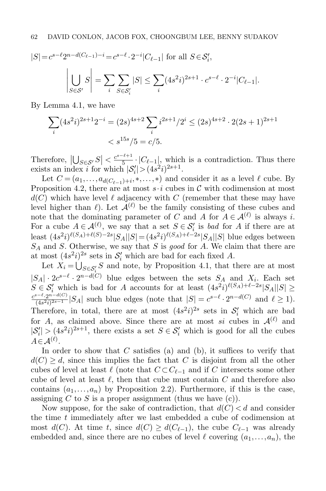$$
|S| = c^{s-\ell} 2^{n-d(C_{\ell-1})-i} = c^{s-\ell} \cdot 2^{-i} |C_{\ell-1}| \text{ for all } S \in \mathcal{S}'_i,
$$

$$
\left| \bigcup_{S \in \mathcal{S}'} S \right| = \sum_{i} \sum_{S \in \mathcal{S}'_i} |S| \le \sum_{i} (4s^2 i)^{2s+1} \cdot c^{s-\ell} \cdot 2^{-i} |C_{\ell-1}|.
$$

By Lemma [4.1,](#page-20-0) we have

$$
\sum_{i} (4s^2i)^{2s+1} 2^{-i} = (2s)^{4s+2} \sum_{i} i^{2s+1} / 2^i \le (2s)^{4s+2} \cdot 2(2s+1)^{2s+1} < s^{15s} / 5 = c/5.
$$

Therefore,  $|\bigcup_{S \in \mathcal{S}'} S| < \frac{c^{s-\ell+1}}{5}$  $\frac{1}{5}$   $\cdot$   $|C_{\ell-1}|$ , which is a contradiction. Thus there exists an index *i* for which  $|S'_i| > (4s^2i)^{2s+1}$ .

Let  $C = (a_1, \ldots, a_{d(C_{\ell-1})+i}, \ldots, \ast)$  and consider it as a level  $\ell$  cube. By Proposition [4.2,](#page-22-0) there are at most  $s \cdot i$  cubes in C with codimension at most  $d(C)$  which have level  $\ell$  adjacency with C (remember that these may have level higher than  $\ell$ ). Let  $\mathcal{A}^{(\ell)}$  be the family consisting of these cubes and note that the dominating parameter of C and A for  $A \in \mathcal{A}^{(\ell)}$  is always i. For a cube  $A \in \mathcal{A}^{(\ell)}$ , we say that a set  $S \in \mathcal{S}'_i$  is bad for A if there are at least  $(4s^2i)^{\ell(S_A)+\ell(S)-2s} |S_A||S| = (4s^2i)^{\ell(S_A)+\ell-2s} |S_A||S|$  blue edges between  $S_A$  and S. Otherwise, we say that S is good for A. We claim that there are at most  $(4s^2i)^{2s}$  sets in  $\mathcal{S}'_i$  which are bad for each fixed A.

Let  $X_i = \bigcup_{S \in \mathcal{S}'_i} S$  and note, by Proposition [4.1,](#page-21-1) that there are at most  $|S_A| \cdot 2c^{s-\ell} \cdot 2^{n-d(C)}$  blue edges between the sets  $S_A$  and  $X_i$ . Each set  $S \in \mathcal{S}'_i$  which is bad for A accounts for at least  $(4s^2i)^{\ell(S_A)+\ell-2s}|S_A||S| \ge$  $c^{s-\ell} \cdot 2^{n-d(C)}$  $\frac{S-\ell \cdot 2^{n-d(C)}}{(4s^2i)^{2s-1}}|S_A|$  such blue edges (note that  $|S|=c^{s-\ell}\cdot 2^{n-d(C)}$  and  $\ell\geq 1$ ). Therefore, in total, there are at most  $(4s^2i)^{2s}$  sets in  $\mathcal{S}'_i$  which are bad for A, as claimed above. Since there are at most si cubes in  $\mathcal{A}^{(\ell)}$  and  $|S'_i| > (4s^2i)^{2s+1}$ , there exists a set  $S \in S'_i$  which is good for all the cubes  $A \in \mathcal{A}^{(\ell)}$ .

In order to show that  $C$  satisfies (a) and (b), it suffices to verify that  $d(C) \geq d$ , since this implies the fact that C is disjoint from all the other cubes of level at least  $\ell$  (note that  $C \subset C_{\ell-1}$  and if C intersects some other cube of level at least  $\ell$ , then that cube must contain C and therefore also contains  $(a_1,..., a_n)$  by Proposition [2.2\)](#page-5-0). Furthermore, if this is the case, assigning  $C$  to  $S$  is a proper assignment (thus we have  $(c)$ ).

Now suppose, for the sake of contradiction, that  $d(C) < d$  and consider the time t immediately after we last embedded a cube of codimension at most  $d(C)$ . At time t, since  $d(C) \geq d(C_{\ell-1})$ , the cube  $C_{\ell-1}$  was already embedded and, since there are no cubes of level  $\ell$  covering  $(a_1, \ldots, a_n)$ , the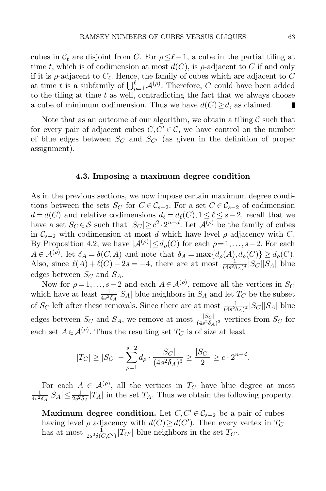cubes in  $\mathcal{C}_\ell$  are disjoint from C. For  $\rho \leq \ell-1$ , a cube in the partial tiling at time t, which is of codimension at most  $d(C)$ , is  $\rho$ -adjacent to C if and only if it is  $\rho$ -adjacent to  $C_{\ell}$ . Hence, the family of cubes which are adjacent to C at time t is a subfamily of  $\bigcup_{\rho=1}^{\ell} \mathcal{A}^{(\rho)}$ . Therefore, C could have been added to the tiling at time  $t$  as well, contradicting the fact that we always choose a cube of minimum codimension. Thus we have  $d(C) \geq d$ , as claimed. П

Note that as an outcome of our algorithm, we obtain a tiling  $\mathcal C$  such that for every pair of adjacent cubes  $C, C' \in \mathcal{C}$ , we have control on the number of blue edges between  $S_C$  and  $S_{C'}$  (as given in the definition of proper assignment).

#### 4.3. Imposing a maximum degree condition

<span id="page-26-0"></span>As in the previous sections, we now impose certain maximum degree conditions between the sets  $S_C$  for  $C \in \mathcal{C}_{s-2}$ . For a set  $C \in \mathcal{C}_{s-2}$  of codimension  $d = d(C)$  and relative codimensions  $d_{\ell} = d_{\ell}(C), 1 \leq \ell \leq s-2$ , recall that we have a set  $S_C \in \mathcal{S}$  such that  $|S_C| \geq c^2 \cdot 2^{n-d}$ . Let  $\mathcal{A}^{(\rho)}$  be the family of cubes in  $\mathcal{C}_{s-2}$  with codimension at most d which have level  $\rho$  adjacency with C. By Proposition [4.2,](#page-22-0) we have  $|\mathcal{A}^{(\rho)}| \leq d_{\rho}(C)$  for each  $\rho = 1, \ldots, s-2$ . For each  $A \in \mathcal{A}^{(\rho)}$ , let  $\delta_A = \delta(C, A)$  and note that  $\delta_A = \max\{d_\rho(A), d_\rho(C)\} \geq d_\rho(C)$ . Also, since  $\ell(A) + \ell(C) - 2s = -4$ , there are at most  $\frac{1}{(4s^2 \delta_A)^4} |S_C||S_A|$  blue edges between  $S_C$  and  $S_A$ .

Now for  $\rho = 1, \ldots, s-2$  and each  $A \in \mathcal{A}^{(\rho)}$ , remove all the vertices in  $S_C$ which have at least  $\frac{1}{4s^2\delta_A}|S_A|$  blue neighbors in  $S_A$  and let  $T_C$  be the subset of  $S_C$  left after these removals. Since there are at most  $\frac{1}{(4s^2\delta_A)^4}|S_C||S_A|$  blue edges between  $S_C$  and  $S_A$ , we remove at most  $\frac{|S_C|}{(4s^2\delta_A)^3}$  vertices from  $S_C$  for each set  $A \in \mathcal{A}^{(\rho)}$ . Thus the resulting set  $T_C$  is of size at least

$$
|T_C| \ge |S_C| - \sum_{\rho=1}^{s-2} d_{\rho} \cdot \frac{|S_C|}{(4s^2 \delta_A)^3} \ge \frac{|S_C|}{2} \ge c \cdot 2^{n-d}.
$$

For each  $A \in \mathcal{A}^{(\rho)}$ , all the vertices in  $T_C$  have blue degree at most 1  $\frac{1}{4s^2\delta_A}|S_A|\leq \frac{1}{2s^2\delta_A}|T_A|$  in the set  $T_A$ . Thus we obtain the following property.

Maximum degree condition. Let  $C, C' \in \mathcal{C}_{s-2}$  be a pair of cubes having level  $\rho$  adjacency with  $d(C) \geq d(C')$ . Then every vertex in  $T_C$ has at most  $\frac{1}{2s^2\delta(C,C')}|T_{C'}|$  blue neighbors in the set  $T_{C'}$ .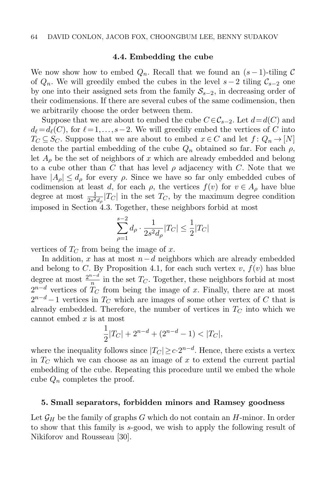#### 4.4. Embedding the cube

We now show how to embed  $Q_n$ . Recall that we found an  $(s-1)$ -tiling C of  $Q_n$ . We will greedily embed the cubes in the level  $s-2$  tiling  $\mathcal{C}_{s-2}$  one by one into their assigned sets from the family  $S_{s-2}$ , in decreasing order of their codimensions. If there are several cubes of the same codimension, then we arbitrarily choose the order between them.

Suppose that we are about to embed the cube  $C \in \mathcal{C}_{s-2}$ . Let  $d = d(C)$  and  $d_{\ell} = d_{\ell}(C)$ , for  $\ell = 1,\ldots,s-2$ . We will greedily embed the vertices of C into  $T_C \subseteq S_C$ . Suppose that we are about to embed  $x \in C$  and let  $f: Q_n \to [N]$ denote the partial embedding of the cube  $Q_n$  obtained so far. For each  $\rho$ , let  $A_{\rho}$  be the set of neighbors of x which are already embedded and belong to a cube other than C that has level  $\rho$  adjacency with C. Note that we have  $|A_{\rho}| \leq d_{\rho}$  for every  $\rho$ . Since we have so far only embedded cubes of codimension at least d, for each  $\rho$ , the vertices  $f(v)$  for  $v \in A_\rho$  have blue degree at most  $\frac{1}{2s^2d_{\rho}}|T_C|$  in the set  $T_C$ , by the maximum degree condition imposed in Section [4.3.](#page-26-0) Together, these neighbors forbid at most

$$
\sum_{\rho=1}^{s-2} d_{\rho} \cdot \frac{1}{2s^2 d_{\rho}} |T_C| \le \frac{1}{2} |T_C|
$$

vertices of  $T_C$  from being the image of x.

In addition, x has at most  $n-d$  neighbors which are already embedded and belong to C. By Proposition [4.1,](#page-21-1) for each such vertex  $v, f(v)$  has blue degree at most  $\frac{2^{n-d}}{n}$  $\frac{1}{n}$  in the set  $T_C$ . Together, these neighbors forbid at most  $2^{n-d}$  vertices of  $T_C$  from being the image of x. Finally, there are at most  $2^{n-d}-1$  vertices in  $T_C$  which are images of some other vertex of C that is already embedded. Therefore, the number of vertices in  $T<sub>C</sub>$  into which we cannot embed  $x$  is at most

$$
\frac{1}{2}|T_C| + 2^{n-d} + (2^{n-d} - 1) < |T_C|,
$$

where the inequality follows since  $|T_C| \geq c \cdot 2^{n-d}$ . Hence, there exists a vertex in  $T_{\text{C}}$  which we can choose as an image of x to extend the current partial embedding of the cube. Repeating this procedure until we embed the whole cube  $Q_n$  completes the proof.

#### <span id="page-27-0"></span>5. Small separators, forbidden minors and Ramsey goodness

<span id="page-27-1"></span>Let  $\mathcal{G}_H$  be the family of graphs G which do not contain an H-minor. In order to show that this family is s-good, we wish to apply the following result of Nikiforov and Rousseau [\[30\]](#page-32-0).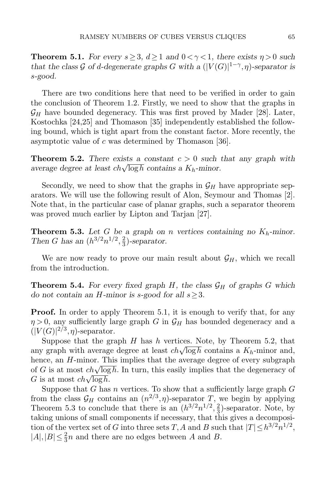**Theorem 5.1.** For every  $s \geq 3$ ,  $d \geq 1$  and  $0 < \gamma < 1$ , there exists  $\eta > 0$  such that the class G of d-degenerate graphs G with a  $(|V(G)|^{1-\gamma}, \eta)$ -separator is s-good.

There are two conditions here that need to be verified in order to gain the conclusion of Theorem [1.2.](#page-3-0) Firstly, we need to show that the graphs in  $\mathcal{G}_H$  have bounded degeneracy. This was first proved by Mader [\[28\]](#page-32-3). Later, Kostochka [\[24,](#page-32-4)[25\]](#page-32-5) and Thomason [\[35\]](#page-32-6) independently established the following bound, which is tight apart from the constant factor. More recently, the asymptotic value of c was determined by Thomason [\[36\]](#page-32-7).

<span id="page-28-0"></span>**Theorem 5.2.** There exists a constant  $c > 0$  such that any graph with **Theorem 3.2.** There exists a constant  $c > 0$  such<br>average degree at least  $ch\sqrt{\log h}$  contains a  $K_h$ -minor.

Secondly, we need to show that the graphs in  $\mathcal{G}_H$  have appropriate separators. We will use the following result of Alon, Seymour and Thomas [\[2\]](#page-31-11). Note that, in the particular case of planar graphs, such a separator theorem was proved much earlier by Lipton and Tarjan [\[27\]](#page-32-8).

<span id="page-28-1"></span>**Theorem 5.3.** Let G be a graph on n vertices containing no  $K_h$ -minor. Then G has an  $(h^{3/2}n^{1/2}, \frac{2}{3})$  $\frac{2}{3}$ )-separator.

We are now ready to prove our main result about  $\mathcal{G}_H$ , which we recall from the introduction.

**Theorem 5.4.** For every fixed graph H, the class  $\mathcal{G}_H$  of graphs G which do not contain an H-minor is s-good for all  $s \geq 3$ .

**Proof.** In order to apply Theorem [5.1,](#page-27-1) it is enough to verify that, for any  $\eta > 0$ , any sufficiently large graph G in  $\mathcal{G}_H$  has bounded degeneracy and a  $(|V(G)|^{2/3}, \eta)$ -separator.

Suppose that the graph  $H$  has  $h$  vertices. Note, by Theorem [5.2,](#page-28-0) that suppose that the graph *H* has *h* vertices. Note, by Theorem 5.2, that any graph with average degree at least  $ch\sqrt{\log h}$  contains a  $K_h$ -minor and, hence, an H-minor. This implies that the average degree of every subgraph mence, an  $n$ -minor. This implies that the average degree of every subgraph of G is at most  $ch\sqrt{\log h}$ . In turn, this easily implies that the degeneracy of of G is at most  $ch\sqrt{\log h}$ .<br>G is at most  $ch\sqrt{\log h}$ .

Suppose that  $G$  has  $n$  vertices. To show that a sufficiently large graph  $G$ from the class  $\mathcal{G}_H$  contains an  $(n^{2/3}, \eta)$ -separator T, we begin by applying Theorem [5.3](#page-28-1) to conclude that there is an  $(h^{3/2}n^{1/2}, \frac{2}{3})$  $\frac{2}{3}$ )-separator. Note, by taking unions of small components if necessary, that this gives a decomposition of the vertex set of G into three sets T, A and B such that  $|T| \leq h^{3/2} n^{1/2}$ ,  $|A|,|B| \leq \frac{2}{3}n$  and there are no edges between A and B.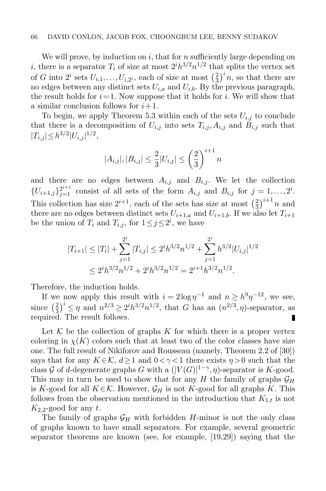#### 66 DAVID CONLON, JACOB FOX, CHOONGBUM LEE, BENNY SUDAKOV

We will prove, by induction on  $i$ , that for  $n$  sufficiently large depending on i, there is a separator  $T_i$  of size at most  $2^i h^{3/2} n^{1/2}$  that splits the vertex set of G into  $2^i$  sets  $U_{i,1}, \ldots, U_{i,2^i}$ , each of size at most  $\left(\frac{2}{3}\right)$  $\left(\frac{2}{3}\right)^i n$ , so that there are no edges between any distinct sets  $U_{i,a}$  and  $U_{i,b}$ . By the previous paragraph, the result holds for  $i=1$ . Now suppose that it holds for i. We will show that a similar conclusion follows for  $i+1$ .

To begin, we apply Theorem [5.3](#page-28-1) within each of the sets  $U_{i,j}$  to conclude that there is a decomposition of  $U_{i,j}$  into sets  $T_{i,j}, A_{i,j}$  and  $B_{i,j}$  such that  $|T_{i,j}| \leq h^{3/2} |U_{i,j}|^{1/2},$ 

$$
|A_{i,j}|, |B_{i,j}| \le \frac{2}{3}|U_{i,j}| \le \left(\frac{2}{3}\right)^{i+1}n
$$

and there are no edges between  $A_{i,j}$  and  $B_{i,j}$ . We let the collection  $\{U_{i+1,j}\}_{j=1}^{2^{i+1}}$  consist of all sets of the form  $A_{i,j}$  and  $B_{i,j}$  for  $j=1,\ldots,2^i$ . This collection has size  $2^{i+1}$ , each of the sets has size at most  $\left(\frac{2}{3}\right)^{i+1}n$  and there are no edges between distinct sets  $U_{i+1,a}$  and  $U_{i+1,b}$ . If we also let  $T_{i+1}$ be the union of  $T_i$  and  $T_{i,j}$ , for  $1 \leq j \leq 2^i$ , we have

$$
|T_{i+1}| \le |T_i| + \sum_{j=1}^{2^i} |T_{i,j}| \le 2^i h^{3/2} n^{1/2} + \sum_{j=1}^{2^i} h^{3/2} |U_{i,j}|^{1/2}
$$
  

$$
\le 2^i h^{3/2} n^{1/2} + 2^i h^{3/2} n^{1/2} = 2^{i+1} h^{3/2} n^{1/2}.
$$

Therefore, the induction holds.

If we now apply this result with  $i = 2\log \eta^{-1}$  and  $n \geq h^{9} \eta^{-12}$ , we see,  $\frac{2}{3}$ )<sup>*i*</sup>  $\leq \eta$  and  $n^{2/3} \geq 2^i h^{3/2} n^{1/2}$ , that G has an  $(n^{2/3}, \eta)$ -separator, as since  $\left(\frac{2}{3}\right)$ required. The result follows. п

Let  $K$  be the collection of graphs K for which there is a proper vertex coloring in  $\chi(K)$  colors such that at least two of the color classes have size one. The full result of Nikiforov and Rousseau (namely, Theorem 2.2 of [\[30\]](#page-32-0)) says that for any  $K \in \mathcal{K}$ ,  $d \geq 1$  and  $0 < \gamma < 1$  there exists  $\eta > 0$  such that the class G of d-degenerate graphs G with a  $(|V(G)|^{1-\gamma}, \eta)$ -separator is K-good. This may in turn be used to show that for any H the family of graphs  $\mathcal{G}_H$ is K-good for all  $K \in \mathcal{K}$ . However,  $\mathcal{G}_H$  is not K-good for all graphs K. This follows from the observation mentioned in the introduction that  $K_{1,t}$  is not  $K_{2,2}$ -good for any t.

The family of graphs  $\mathcal{G}_H$  with forbidden H-minor is not the only class of graphs known to have small separators. For example, several geometric separator theorems are known (see, for example, [\[19,](#page-32-9)[29\]](#page-32-10)) saying that the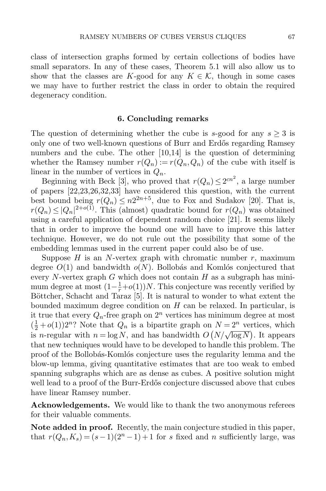class of intersection graphs formed by certain collections of bodies have small separators. In any of these cases, Theorem [5.1](#page-27-1) will also allow us to show that the classes are K-good for any  $K \in \mathcal{K}$ , though in some cases we may have to further restrict the class in order to obtain the required degeneracy condition.

#### 6. Concluding remarks

The question of determining whether the cube is s-good for any  $s \geq 3$  is only one of two well-known questions of Burr and Erdős regarding Ramsey numbers and the cube. The other [\[10](#page-31-12)[,14\]](#page-31-13) is the question of determining whether the Ramsey number  $r(Q_n) := r(Q_n, Q_n)$  of the cube with itself is linear in the number of vertices in  $Q_n$ .

Beginning with Beck [\[3\]](#page-31-14), who proved that  $r(Q_n) \leq 2^{cn^2}$ , a large number of papers [\[22](#page-32-11)[,23](#page-32-12)[,26](#page-32-13)[,32](#page-32-14)[,33\]](#page-32-15) have considered this question, with the current best bound being  $r(Q_n) \leq n2^{2n+5}$ , due to Fox and Sudakov [\[20\]](#page-32-16). That is,  $r(Q_n) \leq |Q_n|^{2+o(1)}$ . This (almost) quadratic bound for  $r(Q_n)$  was obtained using a careful application of dependent random choice [\[21\]](#page-32-17). It seems likely that in order to improve the bound one will have to improve this latter technique. However, we do not rule out the possibility that some of the embedding lemmas used in the current paper could also be of use.

Suppose  $H$  is an N-vertex graph with chromatic number  $r$ , maximum degree  $O(1)$  and bandwidth  $o(N)$ . Bollobás and Komlós conjectured that every N-vertex graph G which does not contain H as a subgraph has minimum degree at most  $(1 - \frac{1}{r} + o(1))N$ . This conjecture was recently verified by Böttcher, Schacht and Taraz [\[5\]](#page-31-15). It is natural to wonder to what extent the bounded maximum degree condition on  $H$  can be relaxed. In particular, is it true that every  $Q_n$ -free graph on  $2^n$  vertices has minimum degree at most  $(\frac{1}{2} + o(1))2^n$ ? Note that  $Q_n$  is a bipartite graph on  $N = 2^n$  vertices, which  $\frac{1}{2} + o(1)/2$ : Note that  $Q_n$  is a signalitie graph on  $N - 2$  vertices, which<br>is *n*-regular with  $n = \log N$ , and has bandwidth  $O(N/\sqrt{\log N})$ . It appears that new techniques would have to be developed to handle this problem. The proof of the Bollobás-Komlós conjecture uses the regularity lemma and the blow-up lemma, giving quantitative estimates that are too weak to embed spanning subgraphs which are as dense as cubes. A positive solution might well lead to a proof of the Burr-Erdős conjecture discussed above that cubes have linear Ramsey number.

Acknowledgements. We would like to thank the two anonymous referees for their valuable comments.

Note added in proof. Recently, the main conjecture studied in this paper, that  $r(Q_n, K_s) = (s-1)(2^n-1)+1$  for s fixed and n sufficiently large, was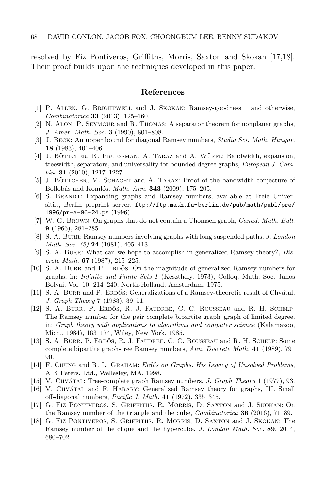resolved by Fiz Pontiveros, Griffiths, Morris, Saxton and Skokan [\[17](#page-31-16)[,18\]](#page-31-17). Their proof builds upon the techniques developed in this paper.

#### References

- <span id="page-31-9"></span>[1] P. Allen, G. Brightwell and J. Skokan: Ramsey-goodness – and otherwise, Combinatorica 33 (2013), 125–160.
- <span id="page-31-11"></span>[2] N. Alon, P. Seymour and R. Thomas: A separator theorem for nonplanar graphs, J. Amer. Math. Soc. 3 (1990), 801–808.
- <span id="page-31-14"></span>[3] J. BECK: An upper bound for diagonal Ramsey numbers, *Studia Sci. Math. Hungar.* 18 (1983), 401–406.
- <span id="page-31-10"></span>[4] J. BÖTTCHER, K. PRUESSMAN, A. TARAZ and A. WÜRFL: Bandwidth, expansion, treewidth, separators, and universality for bounded degree graphs, European J. Com $bin. 31$  (2010), 1217-1227.
- <span id="page-31-15"></span>[5] J. BÖTTCHER, M. SCHACHT and A. TARAZ: Proof of the bandwidth conjecture of Bollobás and Komlós, *Math. Ann.* **343** (2009), 175–205.
- <span id="page-31-8"></span>[6] S. Brandt: Expanding graphs and Ramsey numbers, available at Freie Universität, Berlin preprint server, [ftp://ftp.math.fu-berlin.de/pub/math/publ/pre/](ftp://ftp.math.fu-berlin.de/pub/math/publ/pre/1996/pr-a-96-24.ps) [1996/pr-a-96-24.ps](ftp://ftp.math.fu-berlin.de/pub/math/publ/pre/1996/pr-a-96-24.ps) (1996).
- <span id="page-31-5"></span>[7] W. G. Brown: On graphs that do not contain a Thomsen graph, Canad. Math. Bull. 9 (1966), 281–285.
- <span id="page-31-1"></span>[8] S. A. BURR: Ramsey numbers involving graphs with long suspended paths, J. London *Math. Soc.*  $(2)$  **24** (1981), 405-413.
- <span id="page-31-6"></span>[9] S. A. BURR: What can we hope to accomplish in generalized Ramsey theory?,  $Dis$ crete Math.  $67$  (1987), 215–225.
- <span id="page-31-12"></span>[10] S. A. BURR and P. ERDOS: On the magnitude of generalized Ramsey numbers for graphs, in: Infinite and Finite Sets I (Keszthely, 1973), Colloq. Math. Soc. Janos Bolyai, Vol. 10, 214–240, North-Holland, Amsterdam, 1975.
- <span id="page-31-2"></span>[11] S. A. BURR and P. ERDŐS: Generalizations of a Ramsey-theoretic result of Chvátal, J. Graph Theory 7 (1983), 39–51.
- <span id="page-31-7"></span>[12] S. A. BURR, P. ERDŐS, R. J. FAUDREE, C. C. ROUSSEAU and R. H. SCHELP: The Ramsey number for the pair complete bipartite graph–graph of limited degree, in: Graph theory with applications to algorithms and computer science (Kalamazoo, Mich., 1984), 163–174, Wiley, New York, 1985.
- <span id="page-31-4"></span>[13] S. A. BURR, P. ERDŐS, R. J. FAUDREE, C. C. ROUSSEAU and R. H. SCHELP: Some complete bipartite graph-tree Ramsey numbers, Ann. Discrete Math. 41 (1989), 79– 90.
- <span id="page-31-13"></span>[14] F. CHUNG and R. L. GRAHAM: *Erdős on Graphs. His Legacy of Unsolved Problems*, A K Peters, Ltd., Wellesley, MA, 1998.
- <span id="page-31-3"></span>[15] V. CHVÁTAL: Tree-complete graph Ramsey numbers, *J. Graph Theory* 1 (1977), 93.
- <span id="page-31-0"></span>[16] V. CHVÁTAL and F. HARARY: Generalized Ramsey theory for graphs, III. Small off-diagonal numbers, Pacific J. Math. 41 (1972), 335–345.
- <span id="page-31-16"></span>[17] G. Fiz Pontiveros, S. Griffiths, R. Morris, D. Saxton and J. Skokan: On the Ramsey number of the triangle and the cube, Combinatorica 36 (2016), 71–89.
- <span id="page-31-17"></span>[18] G. Fiz Pontiveros, S. Griffiths, R. Morris, D. Saxton and J. Skokan: The Ramsey number of the clique and the hypercube, J. London Math. Soc. 89, 2014, 680–702.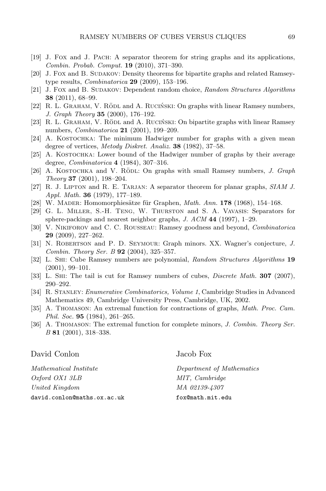- <span id="page-32-9"></span>[19] J. Fox and J. Pach: A separator theorem for string graphs and its applications, Combin. Probab. Comput. 19 (2010), 371–390.
- <span id="page-32-16"></span>[20] J. Fox and B. Sudakov: Density theorems for bipartite graphs and related Ramseytype results, *Combinatorica* **29** (2009), 153-196.
- <span id="page-32-17"></span>[21] J. Fox and B. SUDAKOV: Dependent random choice, Random Structures Algorithms 38 (2011), 68–99.
- <span id="page-32-11"></span>[22] R. L. GRAHAM, V. RÖDL and A. RUCIŃSKI: On graphs with linear Ramsey numbers, J. Graph Theory 35 (2000), 176–192.
- <span id="page-32-12"></span>[23] R. L. GRAHAM, V. RÖDL and A. RUCIŃSKI: On bipartite graphs with linear Ramsey numbers, *Combinatorica* **21** (2001), 199-209.
- <span id="page-32-4"></span>[24] A. KOSTOCHKA: The minimum Hadwiger number for graphs with a given mean degree of vertices, Metody Diskret. Analiz. 38 (1982), 37-58.
- <span id="page-32-5"></span>[25] A. KOSTOCHKA: Lower bound of the Hadwiger number of graphs by their average degree, Combinatorica 4 (1984), 307–316.
- <span id="page-32-13"></span>[26] A. KOSTOCHKA and V. RÖDL: On graphs with small Ramsey numbers,  $J. Graph$ Theory 37 (2001), 198–204.
- <span id="page-32-8"></span>[27] R. J. LIPTON and R. E. TARJAN: A separator theorem for planar graphs, SIAM J. Appl. Math. 36 (1979), 177–189.
- <span id="page-32-3"></span>[28] W. MADER: Homomorphiesätze für Graphen,  $Math. Ann. 178 (1968), 154–168.$
- <span id="page-32-10"></span>[29] G. L. Miller, S.-H. Teng, W. Thurston and S. A. Vavasis: Separators for sphere-packings and nearest neighbor graphs, J. ACM 44 (1997), 1–29.
- <span id="page-32-0"></span>[30] V. Nikiforov and C. C. Rousseau: Ramsey goodness and beyond, Combinatorica 29 (2009), 227–262.
- <span id="page-32-1"></span>[31] N. Robertson and P. D. Seymour: Graph minors. XX. Wagner's conjecture, J. Combin. Theory Ser. B 92 (2004), 325–357.
- <span id="page-32-14"></span>[32] L. Shi: Cube Ramsey numbers are polynomial, Random Structures Algorithms 19 (2001), 99–101.
- <span id="page-32-15"></span>[33] L. SHI: The tail is cut for Ramsey numbers of cubes, *Discrete Math.* **307** (2007), 290–292.
- <span id="page-32-2"></span>[34] R. Stanley: Enumerative Combinatorics, Volume 1, Cambridge Studies in Advanced Mathematics 49, Cambridge University Press, Cambridge, UK, 2002.
- <span id="page-32-6"></span>[35] A. Thomason: An extremal function for contractions of graphs, Math. Proc. Cam. Phil. Soc. **95** (1984), 261-265.
- <span id="page-32-7"></span>[36] A. THOMASON: The extremal function for complete minors, J. Combin. Theory Ser. B 81 (2001), 318–338.

| David Conlon                  | Jacob Fox                 |
|-------------------------------|---------------------------|
| <i>Mathematical Institute</i> | Department of Mathematics |
| Oxford OX1 3LB                | MIT, Cambridge            |
| United Kingdom                | MA 02139-4307             |
| david.conlon@maths.ox.ac.uk   | fox@math.mit.edu          |
|                               |                           |